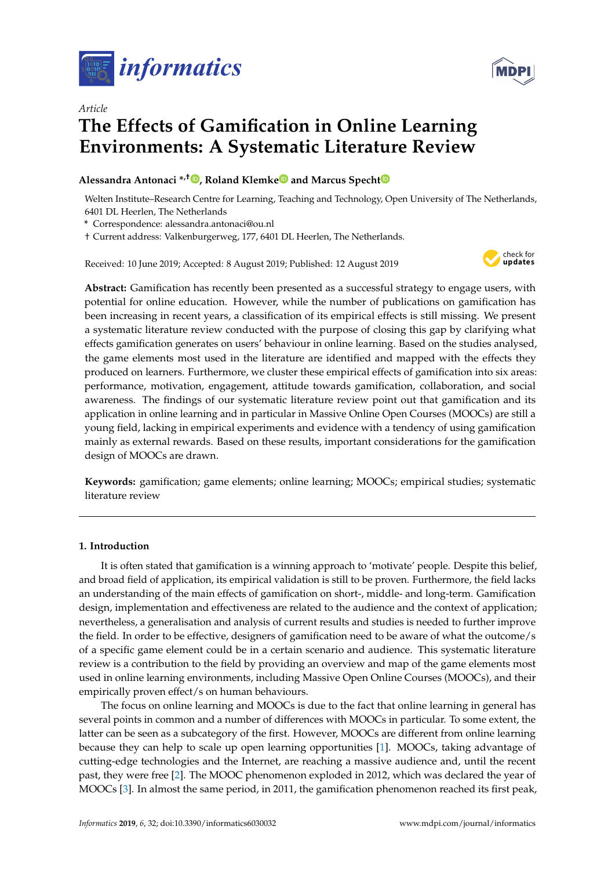



# *Article* **The Effects of Gamification in Online Learning Environments: A Systematic Literature Review**

# **Alessandra Antonaci \*,† [,](https://orcid.org/0000-0002-9157-4450) Roland Klemk[e](https://orcid.org/0000-0002-9268-3229) and Marcus Spech[t](https://orcid.org/0000-0002-6086-8480)**

Welten Institute–Research Centre for Learning, Teaching and Technology, Open University of The Netherlands, 6401 DL Heerlen, The Netherlands

**\*** Correspondence: alessandra.antonaci@ou.nl

† Current address: Valkenburgerweg, 177, 6401 DL Heerlen, The Netherlands.

Received: 10 June 2019; Accepted: 8 August 2019; Published: 12 August 2019



**Abstract:** Gamification has recently been presented as a successful strategy to engage users, with potential for online education. However, while the number of publications on gamification has been increasing in recent years, a classification of its empirical effects is still missing. We present a systematic literature review conducted with the purpose of closing this gap by clarifying what effects gamification generates on users' behaviour in online learning. Based on the studies analysed, the game elements most used in the literature are identified and mapped with the effects they produced on learners. Furthermore, we cluster these empirical effects of gamification into six areas: performance, motivation, engagement, attitude towards gamification, collaboration, and social awareness. The findings of our systematic literature review point out that gamification and its application in online learning and in particular in Massive Online Open Courses (MOOCs) are still a young field, lacking in empirical experiments and evidence with a tendency of using gamification mainly as external rewards. Based on these results, important considerations for the gamification design of MOOCs are drawn.

**Keywords:** gamification; game elements; online learning; MOOCs; empirical studies; systematic literature review

## **1. Introduction**

It is often stated that gamification is a winning approach to 'motivate' people. Despite this belief, and broad field of application, its empirical validation is still to be proven. Furthermore, the field lacks an understanding of the main effects of gamification on short-, middle- and long-term. Gamification design, implementation and effectiveness are related to the audience and the context of application; nevertheless, a generalisation and analysis of current results and studies is needed to further improve the field. In order to be effective, designers of gamification need to be aware of what the outcome/s of a specific game element could be in a certain scenario and audience. This systematic literature review is a contribution to the field by providing an overview and map of the game elements most used in online learning environments, including Massive Open Online Courses (MOOCs), and their empirically proven effect/s on human behaviours.

The focus on online learning and MOOCs is due to the fact that online learning in general has several points in common and a number of differences with MOOCs in particular. To some extent, the latter can be seen as a subcategory of the first. However, MOOCs are different from online learning because they can help to scale up open learning opportunities [\[1\]](#page-17-0). MOOCs, taking advantage of cutting-edge technologies and the Internet, are reaching a massive audience and, until the recent past, they were free [\[2\]](#page-17-1). The MOOC phenomenon exploded in 2012, which was declared the year of MOOCs [\[3\]](#page-17-2). In almost the same period, in 2011, the gamification phenomenon reached its first peak,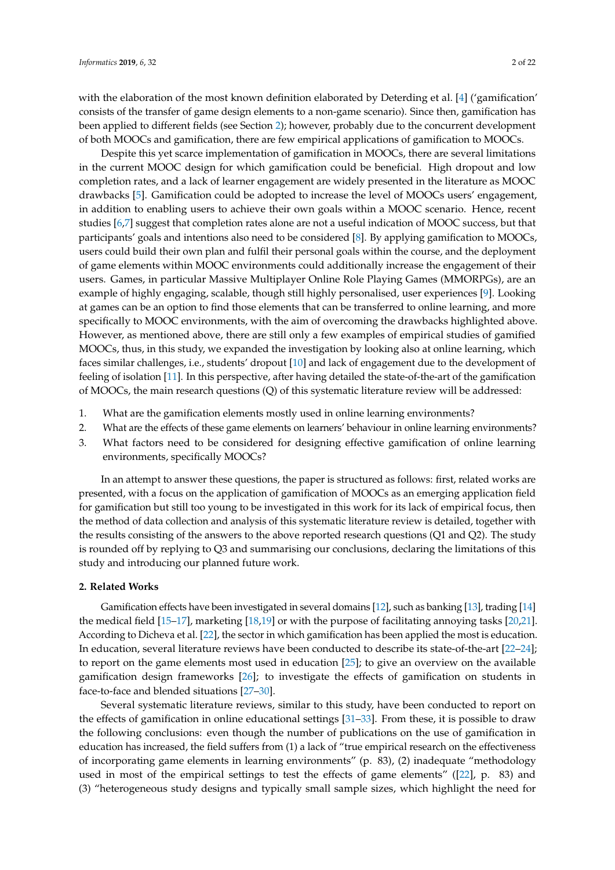with the elaboration of the most known definition elaborated by Deterding et al. [\[4\]](#page-17-3) ('gamification' consists of the transfer of game design elements to a non-game scenario). Since then, gamification has been applied to different fields (see Section [2\)](#page-1-0); however, probably due to the concurrent development of both MOOCs and gamification, there are few empirical applications of gamification to MOOCs.

Despite this yet scarce implementation of gamification in MOOCs, there are several limitations in the current MOOC design for which gamification could be beneficial. High dropout and low completion rates, and a lack of learner engagement are widely presented in the literature as MOOC drawbacks [\[5\]](#page-17-4). Gamification could be adopted to increase the level of MOOCs users' engagement, in addition to enabling users to achieve their own goals within a MOOC scenario. Hence, recent studies [\[6,](#page-17-5)[7\]](#page-17-6) suggest that completion rates alone are not a useful indication of MOOC success, but that participants' goals and intentions also need to be considered [\[8\]](#page-17-7). By applying gamification to MOOCs, users could build their own plan and fulfil their personal goals within the course, and the deployment of game elements within MOOC environments could additionally increase the engagement of their users. Games, in particular Massive Multiplayer Online Role Playing Games (MMORPGs), are an example of highly engaging, scalable, though still highly personalised, user experiences [\[9\]](#page-17-8). Looking at games can be an option to find those elements that can be transferred to online learning, and more specifically to MOOC environments, with the aim of overcoming the drawbacks highlighted above. However, as mentioned above, there are still only a few examples of empirical studies of gamified MOOCs, thus, in this study, we expanded the investigation by looking also at online learning, which faces similar challenges, i.e., students' dropout [\[10\]](#page-17-9) and lack of engagement due to the development of feeling of isolation [\[11\]](#page-17-10). In this perspective, after having detailed the state-of-the-art of the gamification of MOOCs, the main research questions (Q) of this systematic literature review will be addressed:

- 1. What are the gamification elements mostly used in online learning environments?
- 2. What are the effects of these game elements on learners' behaviour in online learning environments?
- 3. What factors need to be considered for designing effective gamification of online learning environments, specifically MOOCs?

In an attempt to answer these questions, the paper is structured as follows: first, related works are presented, with a focus on the application of gamification of MOOCs as an emerging application field for gamification but still too young to be investigated in this work for its lack of empirical focus, then the method of data collection and analysis of this systematic literature review is detailed, together with the results consisting of the answers to the above reported research questions (Q1 and Q2). The study is rounded off by replying to Q3 and summarising our conclusions, declaring the limitations of this study and introducing our planned future work.

#### <span id="page-1-0"></span>**2. Related Works**

Gamification effects have been investigated in several domains [\[12\]](#page-17-11), such as banking [\[13\]](#page-17-12), trading [\[14\]](#page-17-13) the medical field [\[15–](#page-17-14)[17\]](#page-17-15), marketing [\[18,](#page-17-16)[19\]](#page-17-17) or with the purpose of facilitating annoying tasks [\[20,](#page-17-18)[21\]](#page-17-19). According to Dicheva et al. [\[22\]](#page-17-20), the sector in which gamification has been applied the most is education. In education, several literature reviews have been conducted to describe its state-of-the-art [\[22](#page-17-20)[–24\]](#page-18-0); to report on the game elements most used in education [\[25\]](#page-18-1); to give an overview on the available gamification design frameworks [\[26\]](#page-18-2); to investigate the effects of gamification on students in face-to-face and blended situations [\[27–](#page-18-3)[30\]](#page-18-4).

Several systematic literature reviews, similar to this study, have been conducted to report on the effects of gamification in online educational settings [\[31](#page-18-5)[–33\]](#page-18-6). From these, it is possible to draw the following conclusions: even though the number of publications on the use of gamification in education has increased, the field suffers from (1) a lack of "true empirical research on the effectiveness of incorporating game elements in learning environments" (p. 83), (2) inadequate "methodology used in most of the empirical settings to test the effects of game elements" ([\[22\]](#page-17-20), p. 83) and (3) "heterogeneous study designs and typically small sample sizes, which highlight the need for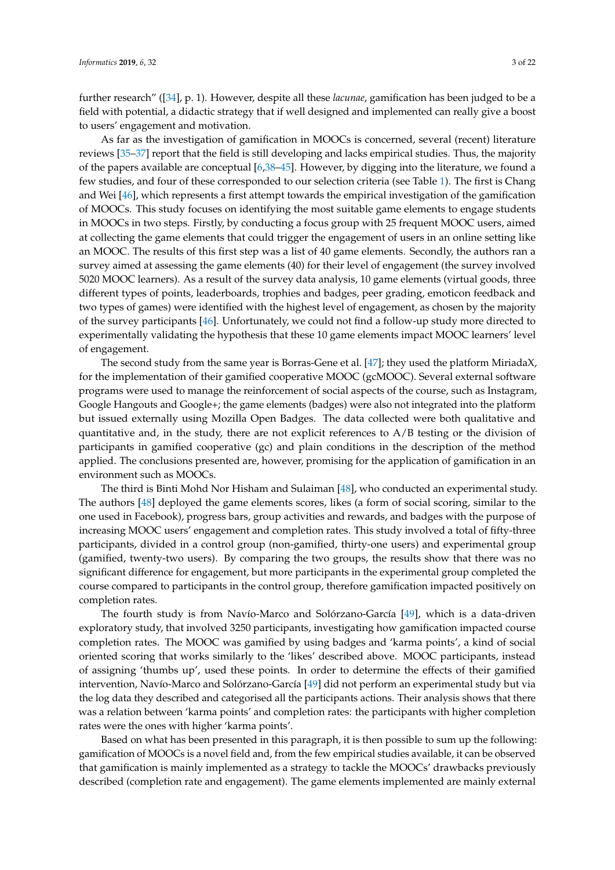further research" ([\[34\]](#page-18-7), p. 1). However, despite all these *lacunae*, gamification has been judged to be a field with potential, a didactic strategy that if well designed and implemented can really give a boost to users' engagement and motivation.

As far as the investigation of gamification in MOOCs is concerned, several (recent) literature reviews [\[35](#page-18-8)[–37\]](#page-18-9) report that the field is still developing and lacks empirical studies. Thus, the majority of the papers available are conceptual [\[6,](#page-17-5)[38–](#page-18-10)[45\]](#page-19-0). However, by digging into the literature, we found a few studies, and four of these corresponded to our selection criteria (see Table [1\)](#page-4-0). The first is Chang and Wei [\[46\]](#page-19-1), which represents a first attempt towards the empirical investigation of the gamification of MOOCs. This study focuses on identifying the most suitable game elements to engage students in MOOCs in two steps. Firstly, by conducting a focus group with 25 frequent MOOC users, aimed at collecting the game elements that could trigger the engagement of users in an online setting like an MOOC. The results of this first step was a list of 40 game elements. Secondly, the authors ran a survey aimed at assessing the game elements (40) for their level of engagement (the survey involved 5020 MOOC learners). As a result of the survey data analysis, 10 game elements (virtual goods, three different types of points, leaderboards, trophies and badges, peer grading, emoticon feedback and two types of games) were identified with the highest level of engagement, as chosen by the majority of the survey participants [\[46\]](#page-19-1). Unfortunately, we could not find a follow-up study more directed to experimentally validating the hypothesis that these 10 game elements impact MOOC learners' level of engagement.

The second study from the same year is Borras-Gene et al. [\[47\]](#page-19-2); they used the platform MiriadaX, for the implementation of their gamified cooperative MOOC (gcMOOC). Several external software programs were used to manage the reinforcement of social aspects of the course, such as Instagram, Google Hangouts and Google+; the game elements (badges) were also not integrated into the platform but issued externally using Mozilla Open Badges. The data collected were both qualitative and quantitative and, in the study, there are not explicit references to A/B testing or the division of participants in gamified cooperative (gc) and plain conditions in the description of the method applied. The conclusions presented are, however, promising for the application of gamification in an environment such as MOOCs.

The third is Binti Mohd Nor Hisham and Sulaiman [\[48\]](#page-19-3), who conducted an experimental study. The authors [\[48\]](#page-19-3) deployed the game elements scores, likes (a form of social scoring, similar to the one used in Facebook), progress bars, group activities and rewards, and badges with the purpose of increasing MOOC users' engagement and completion rates. This study involved a total of fifty-three participants, divided in a control group (non-gamified, thirty-one users) and experimental group (gamified, twenty-two users). By comparing the two groups, the results show that there was no significant difference for engagement, but more participants in the experimental group completed the course compared to participants in the control group, therefore gamification impacted positively on completion rates.

The fourth study is from Navío-Marco and Solórzano-García [\[49\]](#page-19-4), which is a data-driven exploratory study, that involved 3250 participants, investigating how gamification impacted course completion rates. The MOOC was gamified by using badges and 'karma points', a kind of social oriented scoring that works similarly to the 'likes' described above. MOOC participants, instead of assigning 'thumbs up', used these points. In order to determine the effects of their gamified intervention, Navío-Marco and Solórzano-García [\[49\]](#page-19-4) did not perform an experimental study but via the log data they described and categorised all the participants actions. Their analysis shows that there was a relation between 'karma points' and completion rates: the participants with higher completion rates were the ones with higher 'karma points'.

Based on what has been presented in this paragraph, it is then possible to sum up the following: gamification of MOOCs is a novel field and, from the few empirical studies available, it can be observed that gamification is mainly implemented as a strategy to tackle the MOOCs' drawbacks previously described (completion rate and engagement). The game elements implemented are mainly external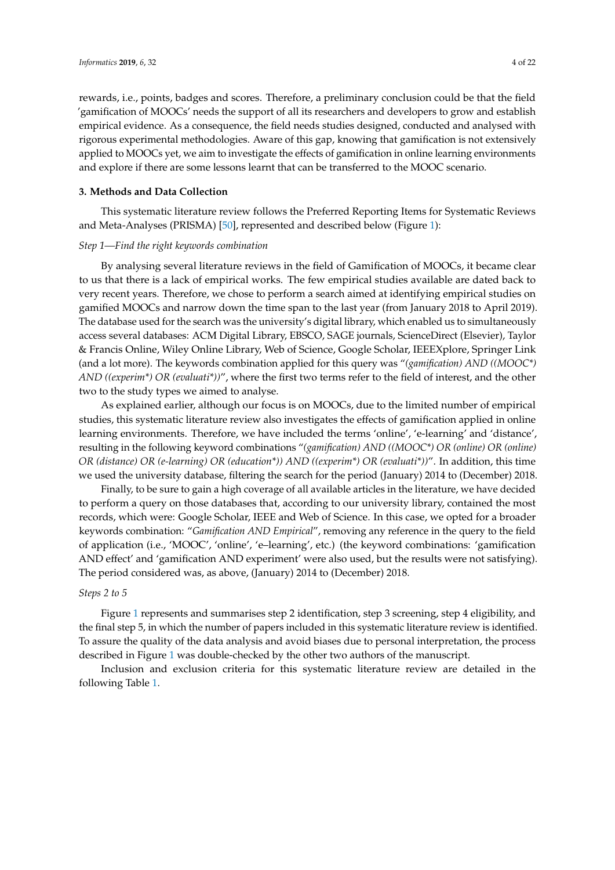rewards, i.e., points, badges and scores. Therefore, a preliminary conclusion could be that the field 'gamification of MOOCs' needs the support of all its researchers and developers to grow and establish empirical evidence. As a consequence, the field needs studies designed, conducted and analysed with rigorous experimental methodologies. Aware of this gap, knowing that gamification is not extensively applied to MOOCs yet, we aim to investigate the effects of gamification in online learning environments and explore if there are some lessons learnt that can be transferred to the MOOC scenario.

## **3. Methods and Data Collection**

This systematic literature review follows the Preferred Reporting Items for Systematic Reviews and Meta-Analyses (PRISMA) [\[50\]](#page-19-5), represented and described below (Figure [1\)](#page-4-1):

#### *Step 1—Find the right keywords combination*

By analysing several literature reviews in the field of Gamification of MOOCs, it became clear to us that there is a lack of empirical works. The few empirical studies available are dated back to very recent years. Therefore, we chose to perform a search aimed at identifying empirical studies on gamified MOOCs and narrow down the time span to the last year (from January 2018 to April 2019). The database used for the search was the university's digital library, which enabled us to simultaneously access several databases: ACM Digital Library, EBSCO, SAGE journals, ScienceDirect (Elsevier), Taylor & Francis Online, Wiley Online Library, Web of Science, Google Scholar, IEEEXplore, Springer Link (and a lot more). The keywords combination applied for this query was "*(gamification) AND ((MOOC\*) AND ((experim\*) OR (evaluati\*))*", where the first two terms refer to the field of interest, and the other two to the study types we aimed to analyse.

As explained earlier, although our focus is on MOOCs, due to the limited number of empirical studies, this systematic literature review also investigates the effects of gamification applied in online learning environments. Therefore, we have included the terms 'online', 'e-learning' and 'distance', resulting in the following keyword combinations "*(gamification) AND ((MOOC\*) OR (online) OR (online) OR (distance) OR (e-learning) OR (education\*)) AND ((experim\*) OR (evaluati\*))*". In addition, this time we used the university database, filtering the search for the period (January) 2014 to (December) 2018.

Finally, to be sure to gain a high coverage of all available articles in the literature, we have decided to perform a query on those databases that, according to our university library, contained the most records, which were: Google Scholar, IEEE and Web of Science. In this case, we opted for a broader keywords combination: "*Gamification AND Empirical*", removing any reference in the query to the field of application (i.e., 'MOOC', 'online', 'e–learning', etc.) (the keyword combinations: 'gamification AND effect' and 'gamification AND experiment' were also used, but the results were not satisfying). The period considered was, as above, (January) 2014 to (December) 2018.

#### *Steps 2 to 5*

Figure [1](#page-4-1) represents and summarises step 2 identification, step 3 screening, step 4 eligibility, and the final step 5, in which the number of papers included in this systematic literature review is identified. To assure the quality of the data analysis and avoid biases due to personal interpretation, the process described in Figure [1](#page-4-1) was double-checked by the other two authors of the manuscript.

Inclusion and exclusion criteria for this systematic literature review are detailed in the following Table [1.](#page-4-0)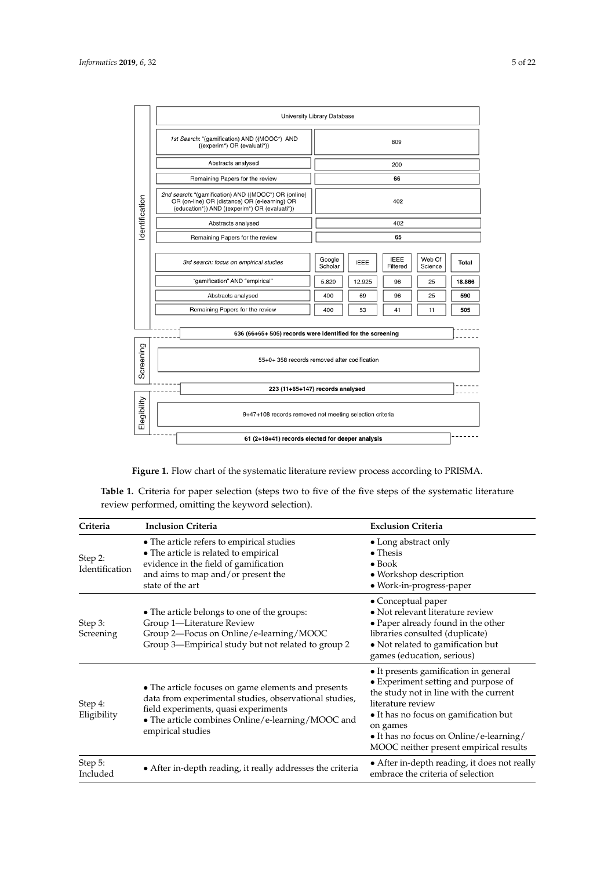<span id="page-4-1"></span>

|                | University Library Database                                                                                                                            |                                                                                                  |  |  |  |  |  |
|----------------|--------------------------------------------------------------------------------------------------------------------------------------------------------|--------------------------------------------------------------------------------------------------|--|--|--|--|--|
| Identification | 1st Search: "(gamification) AND ((MOOC*) AND<br>((experim*) OR (evaluati*))                                                                            | 809                                                                                              |  |  |  |  |  |
|                | Abstracts analysed                                                                                                                                     | 200                                                                                              |  |  |  |  |  |
|                | Remaining Papers for the review                                                                                                                        | 66                                                                                               |  |  |  |  |  |
|                | 2nd search: "(gamification) AND ((MOOC*) OR (online)<br>OR (on-line) OR (distance) OR (e-learning) OR<br>(education*)) AND ((experim*) OR (evaluati*)) | 402                                                                                              |  |  |  |  |  |
|                | Abstracts analysed                                                                                                                                     | 402                                                                                              |  |  |  |  |  |
|                | Remaining Papers for the review                                                                                                                        | 65                                                                                               |  |  |  |  |  |
|                | 3rd search: focus on empirical studies                                                                                                                 | <b>IEEE</b><br>Web Of<br>Google<br><b>IEEE</b><br><b>Total</b><br>Scholar<br>Filtered<br>Science |  |  |  |  |  |
|                | "gamification" AND "empirical"                                                                                                                         | 5.820<br>12.925<br>25<br>18.866<br>96                                                            |  |  |  |  |  |
|                | Abstracts analysed                                                                                                                                     | 25<br>590<br>400<br>69<br>96                                                                     |  |  |  |  |  |
|                | Remaining Papers for the review                                                                                                                        | 400<br>53<br>41<br>11<br>505                                                                     |  |  |  |  |  |
|                | 636 (66+65+ 505) records were identified for the screening                                                                                             |                                                                                                  |  |  |  |  |  |
| Screening      | 55+0+ 358 records removed after codification                                                                                                           |                                                                                                  |  |  |  |  |  |
|                | 223 (11+65+147) records analysed                                                                                                                       |                                                                                                  |  |  |  |  |  |
| Elegibility    | 9+47+108 records removed not meeting selection criteria                                                                                                |                                                                                                  |  |  |  |  |  |
|                | 61 (2+18+41) records elected for deeper analysis                                                                                                       |                                                                                                  |  |  |  |  |  |

**Figure 1.** Flow chart of the systematic literature review process according to PRISMA.

<span id="page-4-0"></span>Table 1. Criteria for paper selection (steps two to five of the five steps of the systematic literature review performed, omitting the keyword selection).

| Criteria                  | <b>Inclusion Criteria</b>                                                                                                                                                                                                       | <b>Exclusion Criteria</b>                                                                                                                                                                                                                                                             |
|---------------------------|---------------------------------------------------------------------------------------------------------------------------------------------------------------------------------------------------------------------------------|---------------------------------------------------------------------------------------------------------------------------------------------------------------------------------------------------------------------------------------------------------------------------------------|
| Step 2:<br>Identification | • The article refers to empirical studies<br>• The article is related to empirical<br>evidence in the field of gamification<br>and aims to map and/or present the<br>state of the art                                           | • Long abstract only<br>$\bullet$ Thesis<br>$\bullet$ Book<br>• Workshop description<br>• Work-in-progress-paper                                                                                                                                                                      |
| Step 3:<br>Screening      | • The article belongs to one of the groups:<br>Group 1-Literature Review<br>Group 2-Focus on Online/e-learning/MOOC<br>Group 3-Empirical study but not related to group 2                                                       | • Conceptual paper<br>• Not relevant literature review<br>• Paper already found in the other<br>libraries consulted (duplicate)<br>• Not related to gamification but<br>games (education, serious)                                                                                    |
| Step 4:<br>Eligibility    | • The article focuses on game elements and presents<br>data from experimental studies, observational studies,<br>field experiments, quasi experiments<br>• The article combines Online/e-learning/MOOC and<br>empirical studies | • It presents gamification in general<br>• Experiment setting and purpose of<br>the study not in line with the current<br>literature review<br>• It has no focus on gamification but<br>on games<br>• It has no focus on Online/e-learning/<br>MOOC neither present empirical results |
| Step 5:<br>Included       | • After in-depth reading, it really addresses the criteria                                                                                                                                                                      | • After in-depth reading, it does not really<br>embrace the criteria of selection                                                                                                                                                                                                     |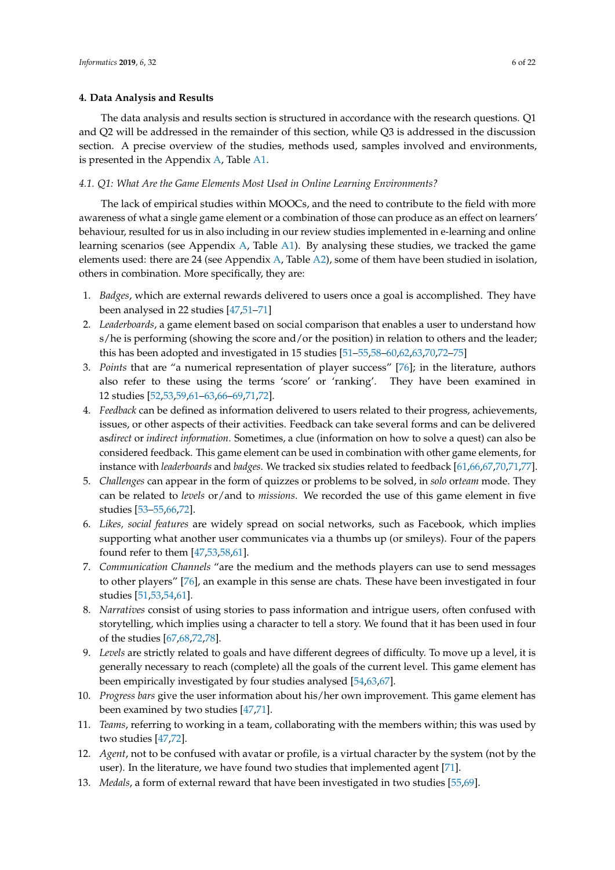#### **4. Data Analysis and Results**

The data analysis and results section is structured in accordance with the research questions. Q1 and Q2 will be addressed in the remainder of this section, while Q3 is addressed in the discussion section. A precise overview of the studies, methods used, samples involved and environments, is presented in the Appendix [A,](#page-14-0) Table [A1.](#page-14-1)

#### *4.1. Q1: What Are the Game Elements Most Used in Online Learning Environments?*

The lack of empirical studies within MOOCs, and the need to contribute to the field with more awareness of what a single game element or a combination of those can produce as an effect on learners' behaviour, resulted for us in also including in our review studies implemented in e-learning and online learning scenarios (see Appendix [A,](#page-14-0) Table [A1\)](#page-14-1). By analysing these studies, we tracked the game elements used: there are 24 (see Appendix [A,](#page-14-0) Table [A2\)](#page-15-0), some of them have been studied in isolation, others in combination. More specifically, they are:

- 1. *Badges*, which are external rewards delivered to users once a goal is accomplished. They have been analysed in 22 studies [\[47](#page-19-2)[,51–](#page-19-6)[71\]](#page-20-0)
- 2. *Leaderboards*, a game element based on social comparison that enables a user to understand how s/he is performing (showing the score and/or the position) in relation to others and the leader; this has been adopted and investigated in 15 studies [\[51–](#page-19-6)[55,](#page-19-7)[58](#page-19-8)[–60,](#page-19-9)[62,](#page-20-1)[63,](#page-20-2)[70](#page-20-3)[,72–](#page-20-4)[75\]](#page-20-5)
- 3. *Points* that are "a numerical representation of player success" [\[76\]](#page-20-6); in the literature, authors also refer to these using the terms 'score' or 'ranking'. They have been examined in 12 studies [\[52,](#page-19-10)[53,](#page-19-11)[59](#page-19-12)[,61–](#page-20-7)[63](#page-20-2)[,66](#page-20-8)[–69](#page-20-9)[,71,](#page-20-0)[72\]](#page-20-4).
- 4. *Feedback* can be defined as information delivered to users related to their progress, achievements, issues, or other aspects of their activities. Feedback can take several forms and can be delivered as*direct* or *indirect information*. Sometimes, a clue (information on how to solve a quest) can also be considered feedback. This game element can be used in combination with other game elements, for instance with *leaderboards* and *badges*. We tracked six studies related to feedback [\[61](#page-20-7)[,66](#page-20-8)[,67](#page-20-10)[,70](#page-20-3)[,71](#page-20-0)[,77\]](#page-20-11).
- 5. *Challenges* can appear in the form of quizzes or problems to be solved, in *solo* or*team* mode. They can be related to *levels* or/and to *missions*. We recorded the use of this game element in five studies [\[53–](#page-19-11)[55,](#page-19-7)[66,](#page-20-8)[72\]](#page-20-4).
- 6. *Likes, social features* are widely spread on social networks, such as Facebook, which implies supporting what another user communicates via a thumbs up (or smileys). Four of the papers found refer to them [\[47,](#page-19-2)[53,](#page-19-11)[58,](#page-19-8)[61\]](#page-20-7).
- 7. *Communication Channels* "are the medium and the methods players can use to send messages to other players" [\[76\]](#page-20-6), an example in this sense are chats. These have been investigated in four studies [\[51,](#page-19-6)[53,](#page-19-11)[54,](#page-19-13)[61\]](#page-20-7).
- 8. *Narratives* consist of using stories to pass information and intrigue users, often confused with storytelling, which implies using a character to tell a story. We found that it has been used in four of the studies [\[67,](#page-20-10)[68,](#page-20-12)[72,](#page-20-4)[78\]](#page-20-13).
- 9. *Levels* are strictly related to goals and have different degrees of difficulty. To move up a level, it is generally necessary to reach (complete) all the goals of the current level. This game element has been empirically investigated by four studies analysed [\[54,](#page-19-13)[63,](#page-20-2)[67\]](#page-20-10).
- 10. *Progress bars* give the user information about his/her own improvement. This game element has been examined by two studies [\[47,](#page-19-2)[71\]](#page-20-0).
- 11. *Teams*, referring to working in a team, collaborating with the members within; this was used by two studies [\[47,](#page-19-2)[72\]](#page-20-4).
- 12. *Agent*, not to be confused with avatar or profile, is a virtual character by the system (not by the user). In the literature, we have found two studies that implemented agent [\[71\]](#page-20-0).
- 13. *Medals*, a form of external reward that have been investigated in two studies [\[55](#page-19-7)[,69\]](#page-20-9).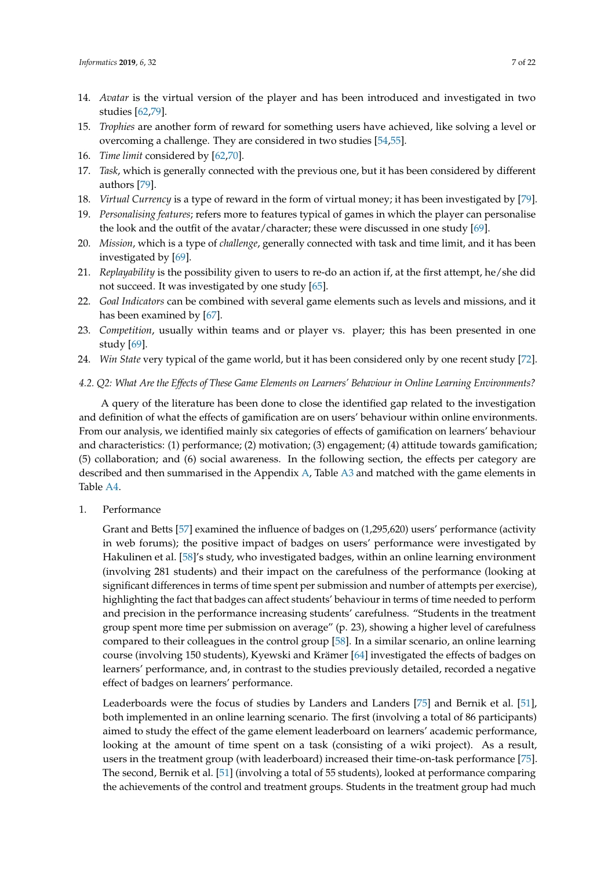- 14. *Avatar* is the virtual version of the player and has been introduced and investigated in two studies [\[62,](#page-20-1)[79\]](#page-20-14).
- 15. *Trophies* are another form of reward for something users have achieved, like solving a level or overcoming a challenge. They are considered in two studies [\[54,](#page-19-13)[55\]](#page-19-7).
- 16. *Time limit* considered by [\[62,](#page-20-1)[70\]](#page-20-3).
- 17. *Task*, which is generally connected with the previous one, but it has been considered by different authors [\[79\]](#page-20-14).
- 18. *Virtual Currency* is a type of reward in the form of virtual money; it has been investigated by [\[79\]](#page-20-14).
- 19. *Personalising features*; refers more to features typical of games in which the player can personalise the look and the outfit of the avatar/character; these were discussed in one study [\[69\]](#page-20-9).
- 20. *Mission*, which is a type of *challenge*, generally connected with task and time limit, and it has been investigated by [\[69\]](#page-20-9).
- 21. *Replayability* is the possibility given to users to re-do an action if, at the first attempt, he/she did not succeed. It was investigated by one study [\[65\]](#page-20-15).
- 22. *Goal Indicators* can be combined with several game elements such as levels and missions, and it has been examined by [\[67\]](#page-20-10).
- 23. *Competition*, usually within teams and or player vs. player; this has been presented in one study [\[69\]](#page-20-9).
- 24. *Win State* very typical of the game world, but it has been considered only by one recent study [\[72\]](#page-20-4).

## *4.2. Q2: What Are the Effects of These Game Elements on Learners' Behaviour in Online Learning Environments?*

A query of the literature has been done to close the identified gap related to the investigation and definition of what the effects of gamification are on users' behaviour within online environments. From our analysis, we identified mainly six categories of effects of gamification on learners' behaviour and characteristics: (1) performance; (2) motivation; (3) engagement; (4) attitude towards gamification; (5) collaboration; and (6) social awareness. In the following section, the effects per category are described and then summarised in the Appendix [A,](#page-14-0) Table [A3](#page-15-1) and matched with the game elements in Table [A4.](#page-16-0)

1. Performance

Grant and Betts [\[57\]](#page-19-14) examined the influence of badges on (1,295,620) users' performance (activity in web forums); the positive impact of badges on users' performance were investigated by Hakulinen et al. [\[58\]](#page-19-8)'s study, who investigated badges, within an online learning environment (involving 281 students) and their impact on the carefulness of the performance (looking at significant differences in terms of time spent per submission and number of attempts per exercise), highlighting the fact that badges can affect students' behaviour in terms of time needed to perform and precision in the performance increasing students' carefulness. "Students in the treatment group spent more time per submission on average" (p. 23), showing a higher level of carefulness compared to their colleagues in the control group [\[58\]](#page-19-8). In a similar scenario, an online learning course (involving 150 students), Kyewski and Krämer [\[64\]](#page-20-16) investigated the effects of badges on learners' performance, and, in contrast to the studies previously detailed, recorded a negative effect of badges on learners' performance.

Leaderboards were the focus of studies by Landers and Landers [\[75\]](#page-20-5) and Bernik et al. [\[51\]](#page-19-6), both implemented in an online learning scenario. The first (involving a total of 86 participants) aimed to study the effect of the game element leaderboard on learners' academic performance, looking at the amount of time spent on a task (consisting of a wiki project). As a result, users in the treatment group (with leaderboard) increased their time-on-task performance [\[75\]](#page-20-5). The second, Bernik et al. [\[51\]](#page-19-6) (involving a total of 55 students), looked at performance comparing the achievements of the control and treatment groups. Students in the treatment group had much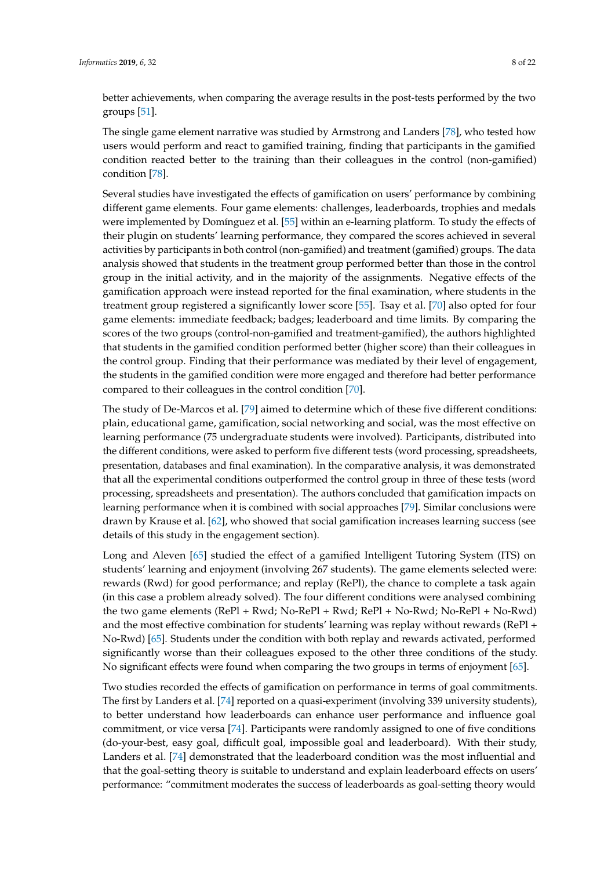better achievements, when comparing the average results in the post-tests performed by the two groups [\[51\]](#page-19-6).

The single game element narrative was studied by Armstrong and Landers [\[78\]](#page-20-13), who tested how users would perform and react to gamified training, finding that participants in the gamified condition reacted better to the training than their colleagues in the control (non-gamified) condition [\[78\]](#page-20-13).

Several studies have investigated the effects of gamification on users' performance by combining different game elements. Four game elements: challenges, leaderboards, trophies and medals were implemented by Domínguez et al. [\[55\]](#page-19-7) within an e-learning platform. To study the effects of their plugin on students' learning performance, they compared the scores achieved in several activities by participants in both control (non-gamified) and treatment (gamified) groups. The data analysis showed that students in the treatment group performed better than those in the control group in the initial activity, and in the majority of the assignments. Negative effects of the gamification approach were instead reported for the final examination, where students in the treatment group registered a significantly lower score [\[55\]](#page-19-7). Tsay et al. [\[70\]](#page-20-3) also opted for four game elements: immediate feedback; badges; leaderboard and time limits. By comparing the scores of the two groups (control-non-gamified and treatment-gamified), the authors highlighted that students in the gamified condition performed better (higher score) than their colleagues in the control group. Finding that their performance was mediated by their level of engagement, the students in the gamified condition were more engaged and therefore had better performance compared to their colleagues in the control condition [\[70\]](#page-20-3).

The study of De-Marcos et al. [\[79\]](#page-20-14) aimed to determine which of these five different conditions: plain, educational game, gamification, social networking and social, was the most effective on learning performance (75 undergraduate students were involved). Participants, distributed into the different conditions, were asked to perform five different tests (word processing, spreadsheets, presentation, databases and final examination). In the comparative analysis, it was demonstrated that all the experimental conditions outperformed the control group in three of these tests (word processing, spreadsheets and presentation). The authors concluded that gamification impacts on learning performance when it is combined with social approaches [\[79\]](#page-20-14). Similar conclusions were drawn by Krause et al. [\[62\]](#page-20-1), who showed that social gamification increases learning success (see details of this study in the engagement section).

Long and Aleven [\[65\]](#page-20-15) studied the effect of a gamified Intelligent Tutoring System (ITS) on students' learning and enjoyment (involving 267 students). The game elements selected were: rewards (Rwd) for good performance; and replay (RePl), the chance to complete a task again (in this case a problem already solved). The four different conditions were analysed combining the two game elements (RePl + Rwd; No-RePl + Rwd; RePl + No-Rwd; No-RePl + No-Rwd) and the most effective combination for students' learning was replay without rewards (RePl + No-Rwd) [\[65\]](#page-20-15). Students under the condition with both replay and rewards activated, performed significantly worse than their colleagues exposed to the other three conditions of the study. No significant effects were found when comparing the two groups in terms of enjoyment [\[65\]](#page-20-15).

Two studies recorded the effects of gamification on performance in terms of goal commitments. The first by Landers et al. [\[74\]](#page-20-17) reported on a quasi-experiment (involving 339 university students), to better understand how leaderboards can enhance user performance and influence goal commitment, or vice versa [\[74\]](#page-20-17). Participants were randomly assigned to one of five conditions (do-your-best, easy goal, difficult goal, impossible goal and leaderboard). With their study, Landers et al. [\[74\]](#page-20-17) demonstrated that the leaderboard condition was the most influential and that the goal-setting theory is suitable to understand and explain leaderboard effects on users' performance: "commitment moderates the success of leaderboards as goal-setting theory would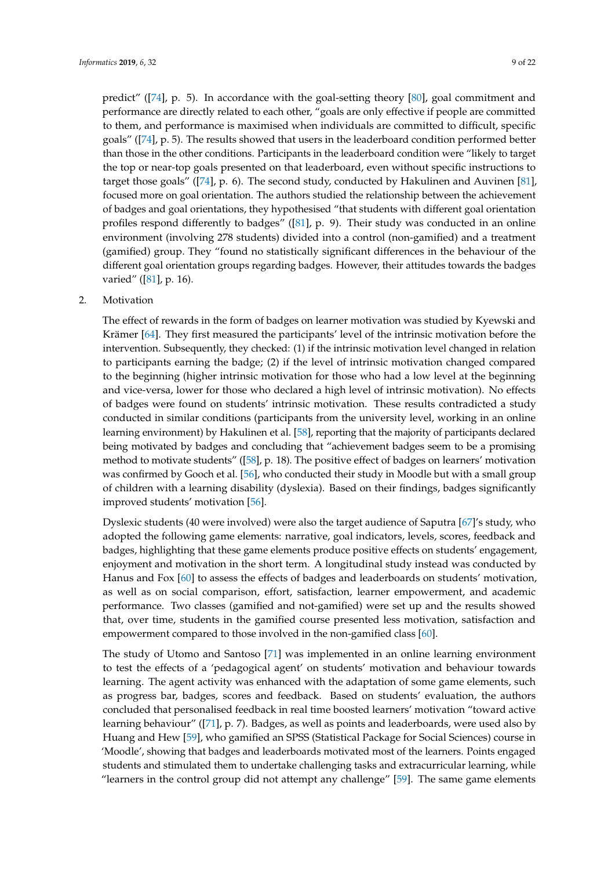predict" ([\[74\]](#page-20-17), p. 5). In accordance with the goal-setting theory [\[80\]](#page-20-18), goal commitment and performance are directly related to each other, "goals are only effective if people are committed to them, and performance is maximised when individuals are committed to difficult, specific goals" ([\[74\]](#page-20-17), p. 5). The results showed that users in the leaderboard condition performed better than those in the other conditions. Participants in the leaderboard condition were "likely to target the top or near-top goals presented on that leaderboard, even without specific instructions to target those goals" ([\[74\]](#page-20-17), p. 6). The second study, conducted by Hakulinen and Auvinen [\[81\]](#page-20-19), focused more on goal orientation. The authors studied the relationship between the achievement of badges and goal orientations, they hypothesised "that students with different goal orientation profiles respond differently to badges" ([\[81\]](#page-20-19), p. 9). Their study was conducted in an online environment (involving 278 students) divided into a control (non-gamified) and a treatment (gamified) group. They "found no statistically significant differences in the behaviour of the different goal orientation groups regarding badges. However, their attitudes towards the badges varied" ([\[81\]](#page-20-19), p. 16).

## 2. Motivation

The effect of rewards in the form of badges on learner motivation was studied by Kyewski and Krämer [\[64\]](#page-20-16). They first measured the participants' level of the intrinsic motivation before the intervention. Subsequently, they checked: (1) if the intrinsic motivation level changed in relation to participants earning the badge; (2) if the level of intrinsic motivation changed compared to the beginning (higher intrinsic motivation for those who had a low level at the beginning and vice-versa, lower for those who declared a high level of intrinsic motivation). No effects of badges were found on students' intrinsic motivation. These results contradicted a study conducted in similar conditions (participants from the university level, working in an online learning environment) by Hakulinen et al. [\[58\]](#page-19-8), reporting that the majority of participants declared being motivated by badges and concluding that "achievement badges seem to be a promising method to motivate students" ([\[58\]](#page-19-8), p. 18). The positive effect of badges on learners' motivation was confirmed by Gooch et al. [\[56\]](#page-19-15), who conducted their study in Moodle but with a small group of children with a learning disability (dyslexia). Based on their findings, badges significantly improved students' motivation [\[56\]](#page-19-15).

Dyslexic students (40 were involved) were also the target audience of Saputra [\[67\]](#page-20-10)'s study, who adopted the following game elements: narrative, goal indicators, levels, scores, feedback and badges, highlighting that these game elements produce positive effects on students' engagement, enjoyment and motivation in the short term. A longitudinal study instead was conducted by Hanus and Fox [\[60\]](#page-19-9) to assess the effects of badges and leaderboards on students' motivation, as well as on social comparison, effort, satisfaction, learner empowerment, and academic performance. Two classes (gamified and not-gamified) were set up and the results showed that, over time, students in the gamified course presented less motivation, satisfaction and empowerment compared to those involved in the non-gamified class [\[60\]](#page-19-9).

The study of Utomo and Santoso [\[71\]](#page-20-0) was implemented in an online learning environment to test the effects of a 'pedagogical agent' on students' motivation and behaviour towards learning. The agent activity was enhanced with the adaptation of some game elements, such as progress bar, badges, scores and feedback. Based on students' evaluation, the authors concluded that personalised feedback in real time boosted learners' motivation "toward active learning behaviour" ([\[71\]](#page-20-0), p. 7). Badges, as well as points and leaderboards, were used also by Huang and Hew [\[59\]](#page-19-12), who gamified an SPSS (Statistical Package for Social Sciences) course in 'Moodle', showing that badges and leaderboards motivated most of the learners. Points engaged students and stimulated them to undertake challenging tasks and extracurricular learning, while "learners in the control group did not attempt any challenge"  $[59]$ . The same game elements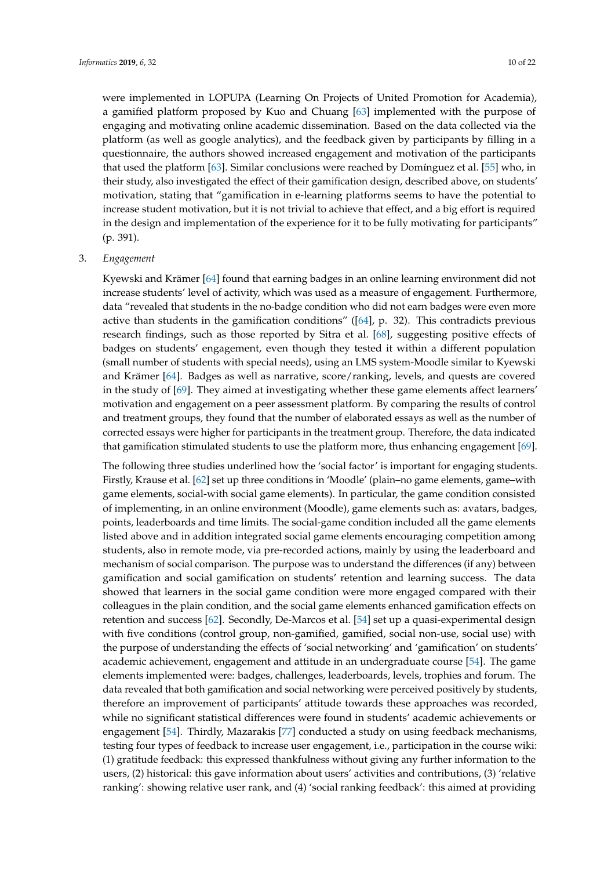were implemented in LOPUPA (Learning On Projects of United Promotion for Academia), a gamified platform proposed by Kuo and Chuang [\[63\]](#page-20-2) implemented with the purpose of engaging and motivating online academic dissemination. Based on the data collected via the platform (as well as google analytics), and the feedback given by participants by filling in a questionnaire, the authors showed increased engagement and motivation of the participants that used the platform [\[63\]](#page-20-2). Similar conclusions were reached by Domínguez et al. [\[55\]](#page-19-7) who, in their study, also investigated the effect of their gamification design, described above, on students' motivation, stating that "gamification in e-learning platforms seems to have the potential to increase student motivation, but it is not trivial to achieve that effect, and a big effort is required in the design and implementation of the experience for it to be fully motivating for participants" (p. 391).

## 3. *Engagement*

Kyewski and Krämer [\[64\]](#page-20-16) found that earning badges in an online learning environment did not increase students' level of activity, which was used as a measure of engagement. Furthermore, data "revealed that students in the no-badge condition who did not earn badges were even more active than students in the gamification conditions" ( $[64]$ , p. 32). This contradicts previous research findings, such as those reported by Sitra et al. [\[68\]](#page-20-12), suggesting positive effects of badges on students' engagement, even though they tested it within a different population (small number of students with special needs), using an LMS system-Moodle similar to Kyewski and Krämer [\[64\]](#page-20-16). Badges as well as narrative, score/ranking, levels, and quests are covered in the study of [\[69\]](#page-20-9). They aimed at investigating whether these game elements affect learners' motivation and engagement on a peer assessment platform. By comparing the results of control and treatment groups, they found that the number of elaborated essays as well as the number of corrected essays were higher for participants in the treatment group. Therefore, the data indicated that gamification stimulated students to use the platform more, thus enhancing engagement [\[69\]](#page-20-9).

The following three studies underlined how the 'social factor' is important for engaging students. Firstly, Krause et al. [\[62\]](#page-20-1) set up three conditions in 'Moodle' (plain–no game elements, game–with game elements, social-with social game elements). In particular, the game condition consisted of implementing, in an online environment (Moodle), game elements such as: avatars, badges, points, leaderboards and time limits. The social-game condition included all the game elements listed above and in addition integrated social game elements encouraging competition among students, also in remote mode, via pre-recorded actions, mainly by using the leaderboard and mechanism of social comparison. The purpose was to understand the differences (if any) between gamification and social gamification on students' retention and learning success. The data showed that learners in the social game condition were more engaged compared with their colleagues in the plain condition, and the social game elements enhanced gamification effects on retention and success [\[62\]](#page-20-1). Secondly, De-Marcos et al. [\[54\]](#page-19-13) set up a quasi-experimental design with five conditions (control group, non-gamified, gamified, social non-use, social use) with the purpose of understanding the effects of 'social networking' and 'gamification' on students' academic achievement, engagement and attitude in an undergraduate course [\[54\]](#page-19-13). The game elements implemented were: badges, challenges, leaderboards, levels, trophies and forum. The data revealed that both gamification and social networking were perceived positively by students, therefore an improvement of participants' attitude towards these approaches was recorded, while no significant statistical differences were found in students' academic achievements or engagement [\[54\]](#page-19-13). Thirdly, Mazarakis [\[77\]](#page-20-11) conducted a study on using feedback mechanisms, testing four types of feedback to increase user engagement, i.e., participation in the course wiki: (1) gratitude feedback: this expressed thankfulness without giving any further information to the users, (2) historical: this gave information about users' activities and contributions, (3) 'relative ranking': showing relative user rank, and (4) 'social ranking feedback': this aimed at providing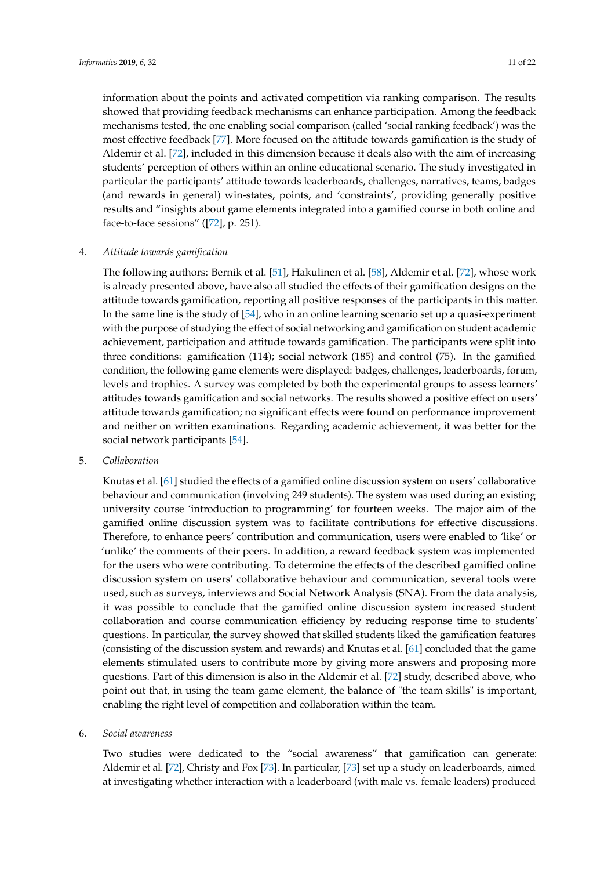information about the points and activated competition via ranking comparison. The results showed that providing feedback mechanisms can enhance participation. Among the feedback mechanisms tested, the one enabling social comparison (called 'social ranking feedback') was the most effective feedback [\[77\]](#page-20-11). More focused on the attitude towards gamification is the study of Aldemir et al. [\[72\]](#page-20-4), included in this dimension because it deals also with the aim of increasing students' perception of others within an online educational scenario. The study investigated in particular the participants' attitude towards leaderboards, challenges, narratives, teams, badges (and rewards in general) win-states, points, and 'constraints', providing generally positive results and "insights about game elements integrated into a gamified course in both online and face-to-face sessions" ([\[72\]](#page-20-4), p. 251).

## 4. *Attitude towards gamification*

The following authors: Bernik et al. [\[51\]](#page-19-6), Hakulinen et al. [\[58\]](#page-19-8), Aldemir et al. [\[72\]](#page-20-4), whose work is already presented above, have also all studied the effects of their gamification designs on the attitude towards gamification, reporting all positive responses of the participants in this matter. In the same line is the study of [\[54\]](#page-19-13), who in an online learning scenario set up a quasi-experiment with the purpose of studying the effect of social networking and gamification on student academic achievement, participation and attitude towards gamification. The participants were split into three conditions: gamification (114); social network (185) and control (75). In the gamified condition, the following game elements were displayed: badges, challenges, leaderboards, forum, levels and trophies. A survey was completed by both the experimental groups to assess learners' attitudes towards gamification and social networks. The results showed a positive effect on users' attitude towards gamification; no significant effects were found on performance improvement and neither on written examinations. Regarding academic achievement, it was better for the social network participants [\[54\]](#page-19-13).

5. *Collaboration*

Knutas et al. [\[61\]](#page-20-7) studied the effects of a gamified online discussion system on users' collaborative behaviour and communication (involving 249 students). The system was used during an existing university course 'introduction to programming' for fourteen weeks. The major aim of the gamified online discussion system was to facilitate contributions for effective discussions. Therefore, to enhance peers' contribution and communication, users were enabled to 'like' or 'unlike' the comments of their peers. In addition, a reward feedback system was implemented for the users who were contributing. To determine the effects of the described gamified online discussion system on users' collaborative behaviour and communication, several tools were used, such as surveys, interviews and Social Network Analysis (SNA). From the data analysis, it was possible to conclude that the gamified online discussion system increased student collaboration and course communication efficiency by reducing response time to students' questions. In particular, the survey showed that skilled students liked the gamification features (consisting of the discussion system and rewards) and Knutas et al. [\[61\]](#page-20-7) concluded that the game elements stimulated users to contribute more by giving more answers and proposing more questions. Part of this dimension is also in the Aldemir et al. [\[72\]](#page-20-4) study, described above, who point out that, in using the team game element, the balance of "the team skills" is important, enabling the right level of competition and collaboration within the team.

6. *Social awareness*

Two studies were dedicated to the "social awareness" that gamification can generate: Aldemir et al. [\[72\]](#page-20-4), Christy and Fox [\[73\]](#page-20-20). In particular, [\[73\]](#page-20-20) set up a study on leaderboards, aimed at investigating whether interaction with a leaderboard (with male vs. female leaders) produced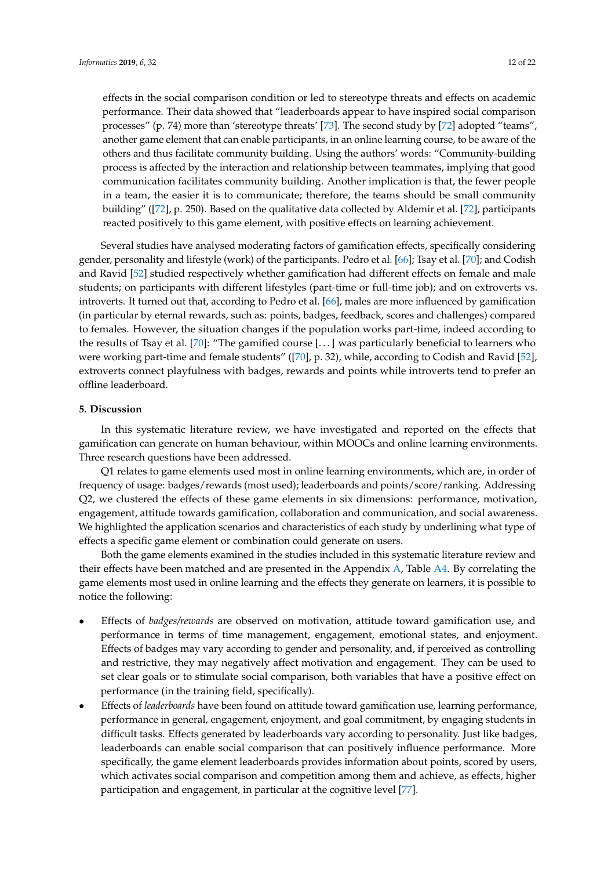effects in the social comparison condition or led to stereotype threats and effects on academic performance. Their data showed that "leaderboards appear to have inspired social comparison processes" (p. 74) more than 'stereotype threats' [\[73\]](#page-20-20). The second study by [\[72\]](#page-20-4) adopted "teams", another game element that can enable participants, in an online learning course, to be aware of the others and thus facilitate community building. Using the authors' words: "Community-building process is affected by the interaction and relationship between teammates, implying that good communication facilitates community building. Another implication is that, the fewer people in a team, the easier it is to communicate; therefore, the teams should be small community building" ([\[72\]](#page-20-4), p. 250). Based on the qualitative data collected by Aldemir et al. [\[72\]](#page-20-4), participants reacted positively to this game element, with positive effects on learning achievement.

Several studies have analysed moderating factors of gamification effects, specifically considering gender, personality and lifestyle (work) of the participants. Pedro et al. [\[66\]](#page-20-8); Tsay et al. [\[70\]](#page-20-3); and Codish and Ravid [\[52\]](#page-19-10) studied respectively whether gamification had different effects on female and male students; on participants with different lifestyles (part-time or full-time job); and on extroverts vs. introverts. It turned out that, according to Pedro et al. [\[66\]](#page-20-8), males are more influenced by gamification (in particular by eternal rewards, such as: points, badges, feedback, scores and challenges) compared to females. However, the situation changes if the population works part-time, indeed according to the results of Tsay et al. [\[70\]](#page-20-3): "The gamified course [. . . ] was particularly beneficial to learners who were working part-time and female students" ([\[70\]](#page-20-3), p. 32), while, according to Codish and Ravid [\[52\]](#page-19-10), extroverts connect playfulness with badges, rewards and points while introverts tend to prefer an offline leaderboard.

## **5. Discussion**

In this systematic literature review, we have investigated and reported on the effects that gamification can generate on human behaviour, within MOOCs and online learning environments. Three research questions have been addressed.

Q1 relates to game elements used most in online learning environments, which are, in order of frequency of usage: badges/rewards (most used); leaderboards and points/score/ranking. Addressing Q2, we clustered the effects of these game elements in six dimensions: performance, motivation, engagement, attitude towards gamification, collaboration and communication, and social awareness. We highlighted the application scenarios and characteristics of each study by underlining what type of effects a specific game element or combination could generate on users.

Both the game elements examined in the studies included in this systematic literature review and their effects have been matched and are presented in the Appendix [A,](#page-14-0) Table [A4.](#page-16-0) By correlating the game elements most used in online learning and the effects they generate on learners, it is possible to notice the following:

- Effects of *badges/rewards* are observed on motivation, attitude toward gamification use, and performance in terms of time management, engagement, emotional states, and enjoyment. Effects of badges may vary according to gender and personality, and, if perceived as controlling and restrictive, they may negatively affect motivation and engagement. They can be used to set clear goals or to stimulate social comparison, both variables that have a positive effect on performance (in the training field, specifically).
- Effects of *leaderboards* have been found on attitude toward gamification use, learning performance, performance in general, engagement, enjoyment, and goal commitment, by engaging students in difficult tasks. Effects generated by leaderboards vary according to personality. Just like badges, leaderboards can enable social comparison that can positively influence performance. More specifically, the game element leaderboards provides information about points, scored by users, which activates social comparison and competition among them and achieve, as effects, higher participation and engagement, in particular at the cognitive level [\[77\]](#page-20-11).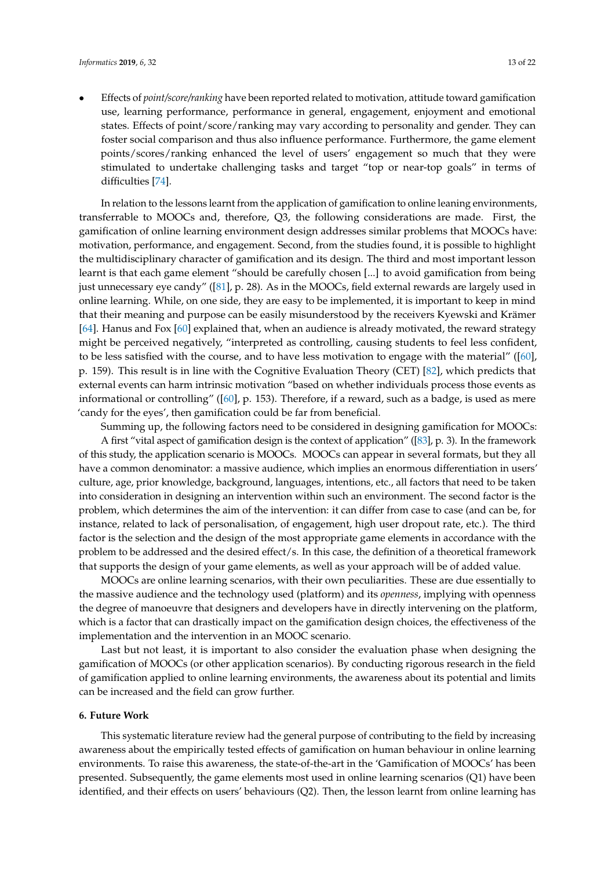• Effects of *point/score/ranking* have been reported related to motivation, attitude toward gamification use, learning performance, performance in general, engagement, enjoyment and emotional states. Effects of point/score/ranking may vary according to personality and gender. They can foster social comparison and thus also influence performance. Furthermore, the game element points/scores/ranking enhanced the level of users' engagement so much that they were stimulated to undertake challenging tasks and target "top or near-top goals" in terms of difficulties [\[74\]](#page-20-17).

In relation to the lessons learnt from the application of gamification to online leaning environments, transferrable to MOOCs and, therefore, Q3, the following considerations are made. First, the gamification of online learning environment design addresses similar problems that MOOCs have: motivation, performance, and engagement. Second, from the studies found, it is possible to highlight the multidisciplinary character of gamification and its design. The third and most important lesson learnt is that each game element "should be carefully chosen [...] to avoid gamification from being just unnecessary eye candy" ([\[81\]](#page-20-19), p. 28). As in the MOOCs, field external rewards are largely used in online learning. While, on one side, they are easy to be implemented, it is important to keep in mind that their meaning and purpose can be easily misunderstood by the receivers Kyewski and Krämer [\[64\]](#page-20-16). Hanus and Fox [\[60\]](#page-19-9) explained that, when an audience is already motivated, the reward strategy might be perceived negatively, "interpreted as controlling, causing students to feel less confident, to be less satisfied with the course, and to have less motivation to engage with the material" ([\[60\]](#page-19-9), p. 159). This result is in line with the Cognitive Evaluation Theory (CET) [\[82\]](#page-20-21), which predicts that external events can harm intrinsic motivation "based on whether individuals process those events as informational or controlling" ([\[60\]](#page-19-9), p. 153). Therefore, if a reward, such as a badge, is used as mere 'candy for the eyes', then gamification could be far from beneficial.

Summing up, the following factors need to be considered in designing gamification for MOOCs: A first "vital aspect of gamification design is the context of application" ([\[83\]](#page-21-0), p. 3). In the framework of this study, the application scenario is MOOCs. MOOCs can appear in several formats, but they all have a common denominator: a massive audience, which implies an enormous differentiation in users' culture, age, prior knowledge, background, languages, intentions, etc., all factors that need to be taken into consideration in designing an intervention within such an environment. The second factor is the problem, which determines the aim of the intervention: it can differ from case to case (and can be, for instance, related to lack of personalisation, of engagement, high user dropout rate, etc.). The third factor is the selection and the design of the most appropriate game elements in accordance with the problem to be addressed and the desired effect/s. In this case, the definition of a theoretical framework that supports the design of your game elements, as well as your approach will be of added value.

MOOCs are online learning scenarios, with their own peculiarities. These are due essentially to the massive audience and the technology used (platform) and its *openness*, implying with openness the degree of manoeuvre that designers and developers have in directly intervening on the platform, which is a factor that can drastically impact on the gamification design choices, the effectiveness of the implementation and the intervention in an MOOC scenario.

Last but not least, it is important to also consider the evaluation phase when designing the gamification of MOOCs (or other application scenarios). By conducting rigorous research in the field of gamification applied to online learning environments, the awareness about its potential and limits can be increased and the field can grow further.

## **6. Future Work**

This systematic literature review had the general purpose of contributing to the field by increasing awareness about the empirically tested effects of gamification on human behaviour in online learning environments. To raise this awareness, the state-of-the-art in the 'Gamification of MOOCs' has been presented. Subsequently, the game elements most used in online learning scenarios (Q1) have been identified, and their effects on users' behaviours (Q2). Then, the lesson learnt from online learning has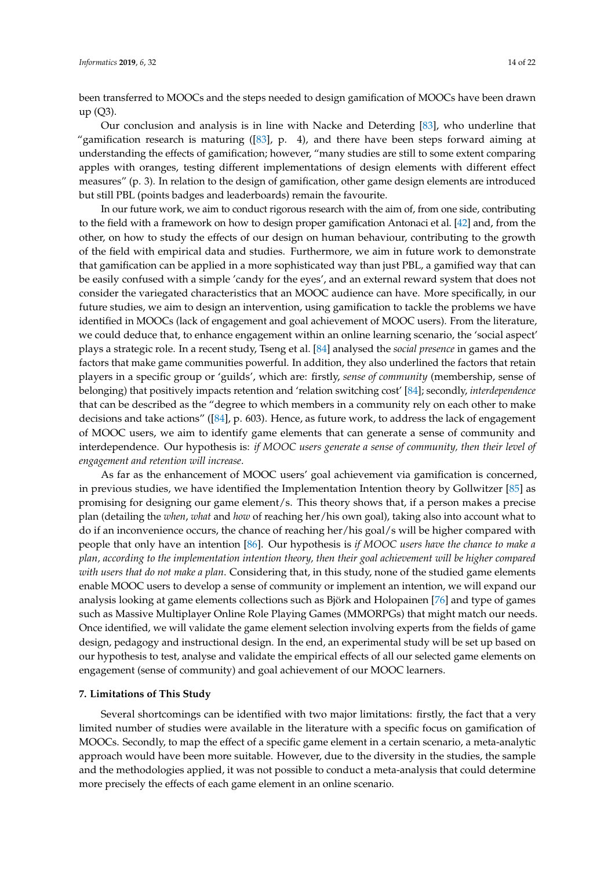been transferred to MOOCs and the steps needed to design gamification of MOOCs have been drawn up (Q3).

Our conclusion and analysis is in line with Nacke and Deterding [\[83\]](#page-21-0), who underline that "gamification research is maturing ([\[83\]](#page-21-0), p. 4), and there have been steps forward aiming at understanding the effects of gamification; however, "many studies are still to some extent comparing apples with oranges, testing different implementations of design elements with different effect measures" (p. 3). In relation to the design of gamification, other game design elements are introduced but still PBL (points badges and leaderboards) remain the favourite.

In our future work, we aim to conduct rigorous research with the aim of, from one side, contributing to the field with a framework on how to design proper gamification Antonaci et al. [\[42\]](#page-19-16) and, from the other, on how to study the effects of our design on human behaviour, contributing to the growth of the field with empirical data and studies. Furthermore, we aim in future work to demonstrate that gamification can be applied in a more sophisticated way than just PBL, a gamified way that can be easily confused with a simple 'candy for the eyes', and an external reward system that does not consider the variegated characteristics that an MOOC audience can have. More specifically, in our future studies, we aim to design an intervention, using gamification to tackle the problems we have identified in MOOCs (lack of engagement and goal achievement of MOOC users). From the literature, we could deduce that, to enhance engagement within an online learning scenario, the 'social aspect' plays a strategic role. In a recent study, Tseng et al. [\[84\]](#page-21-1) analysed the *social presence* in games and the factors that make game communities powerful. In addition, they also underlined the factors that retain players in a specific group or 'guilds', which are: firstly, *sense of community* (membership, sense of belonging) that positively impacts retention and 'relation switching cost' [\[84\]](#page-21-1); secondly, *interdependence* that can be described as the "degree to which members in a community rely on each other to make decisions and take actions" ([\[84\]](#page-21-1), p. 603). Hence, as future work, to address the lack of engagement of MOOC users, we aim to identify game elements that can generate a sense of community and interdependence. Our hypothesis is: *if MOOC users generate a sense of community, then their level of engagement and retention will increase*.

As far as the enhancement of MOOC users' goal achievement via gamification is concerned, in previous studies, we have identified the Implementation Intention theory by Gollwitzer [\[85\]](#page-21-2) as promising for designing our game element/s. This theory shows that, if a person makes a precise plan (detailing the *when*, *what* and *how* of reaching her/his own goal), taking also into account what to do if an inconvenience occurs, the chance of reaching her/his goal/s will be higher compared with people that only have an intention [\[86\]](#page-21-3). Our hypothesis is *if MOOC users have the chance to make a plan, according to the implementation intention theory, then their goal achievement will be higher compared with users that do not make a plan*. Considering that, in this study, none of the studied game elements enable MOOC users to develop a sense of community or implement an intention, we will expand our analysis looking at game elements collections such as Björk and Holopainen [\[76\]](#page-20-6) and type of games such as Massive Multiplayer Online Role Playing Games (MMORPGs) that might match our needs. Once identified, we will validate the game element selection involving experts from the fields of game design, pedagogy and instructional design. In the end, an experimental study will be set up based on our hypothesis to test, analyse and validate the empirical effects of all our selected game elements on engagement (sense of community) and goal achievement of our MOOC learners.

#### **7. Limitations of This Study**

Several shortcomings can be identified with two major limitations: firstly, the fact that a very limited number of studies were available in the literature with a specific focus on gamification of MOOCs. Secondly, to map the effect of a specific game element in a certain scenario, a meta-analytic approach would have been more suitable. However, due to the diversity in the studies, the sample and the methodologies applied, it was not possible to conduct a meta-analysis that could determine more precisely the effects of each game element in an online scenario.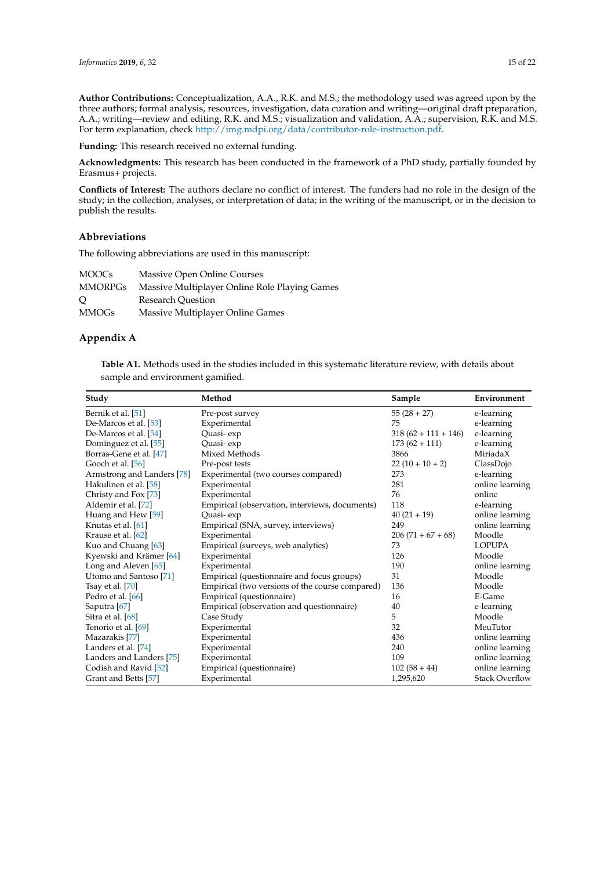**Author Contributions:** Conceptualization, A.A., R.K. and M.S.; the methodology used was agreed upon by the three authors; formal analysis, resources, investigation, data curation and writing—original draft preparation, A.A.; writing—review and editing, R.K. and M.S.; visualization and validation, A.A.; supervision, R.K. and M.S. For term explanation, check [http://img.mdpi.org/data/contributor-role-instruction.pdf.](http://img.mdpi.org/data/contributor-role-instruction.pdf)

**Funding:** This research received no external funding.

**Acknowledgments:** This research has been conducted in the framework of a PhD study, partially founded by Erasmus+ projects.

**Conflicts of Interest:** The authors declare no conflict of interest. The funders had no role in the design of the study; in the collection, analyses, or interpretation of data; in the writing of the manuscript, or in the decision to publish the results.

#### **Abbreviations**

The following abbreviations are used in this manuscript:

| MOOCs   | Massive Open Online Courses                   |
|---------|-----------------------------------------------|
| MMORPGs | Massive Multiplayer Online Role Playing Games |
| О       | <b>Research Ouestion</b>                      |
| MMOGs   | Massive Multiplayer Online Games              |

## <span id="page-14-1"></span><span id="page-14-0"></span>**Appendix A**

**Table A1.** Methods used in the studies included in this systematic literature review, with details about sample and environment gamified.

| Study                             | Method                                          | Sample                | Environment           |
|-----------------------------------|-------------------------------------------------|-----------------------|-----------------------|
| Bernik et al. [51]                | Pre-post survey                                 | $55(28+27)$           | e-learning            |
| De-Marcos et al. [53]             | Experimental                                    | 75                    | e-learning            |
| De-Marcos et al. [54]             | Quasi-exp                                       | $318(62 + 111 + 146)$ | e-learning            |
| Domínguez et al. [55]             | Quasi-exp                                       | $173(62 + 111)$       | e-learning            |
| Borras-Gene et al. [47]           | Mixed Methods                                   | 3866                  | MiriadaX              |
| Gooch et al. [56]                 | Pre-post tests                                  | $22(10+10+2)$         | ClassDojo             |
| Armstrong and Landers [78]        | Experimental (two courses compared)             | 273                   | e-learning            |
| Hakulinen et al. [58]             | Experimental                                    | 281                   | online learning       |
| Christy and Fox [73]              | Experimental                                    | 76                    | online                |
| Aldemir et al. [72]               | Empirical (observation, interviews, documents)  | 118                   | e-learning            |
| Huang and Hew [59]                | Quasi-exp                                       | $40(21+19)$           | online learning       |
| Knutas et al. [61]                | Empirical (SNA, survey, interviews)             | 249                   | online learning       |
| Krause et al. [62]                | Experimental                                    | $206(71+67+68)$       | Moodle                |
| Kuo and Chuang [63]               | Empirical (surveys, web analytics)              | 73                    | <b>LOPUPA</b>         |
| Kyewski and Krämer [64]           | Experimental                                    | 126                   | Moodle                |
| Long and Aleven [65]              | Experimental                                    | 190                   | online learning       |
| Utomo and Santoso <sup>[71]</sup> | Empirical (questionnaire and focus groups)      | 31                    | Moodle                |
| Tsay et al. $[70]$                | Empirical (two versions of the course compared) | 136                   | Moodle                |
| Pedro et al. [66]                 | Empirical (questionnaire)                       | 16                    | E-Game                |
| Saputra [67]                      | Empirical (observation and questionnaire)       | 40                    | e-learning            |
| Sitra et al. [68]                 | Case Study                                      | 5                     | Moodle                |
| Tenorio et al. [69]               | Experimental                                    | 32                    | MeuTutor              |
| Mazarakis [77]                    | Experimental                                    | 436                   | online learning       |
| Landers et al. [74]               | Experimental                                    | 240                   | online learning       |
| Landers and Landers [75]          | Experimental                                    | 109                   | online learning       |
| Codish and Ravid [52]             | Empirical (questionnaire)                       | $102(58+44)$          | online learning       |
| Grant and Betts [57]              | Experimental                                    | 1,295,620             | <b>Stack Overflow</b> |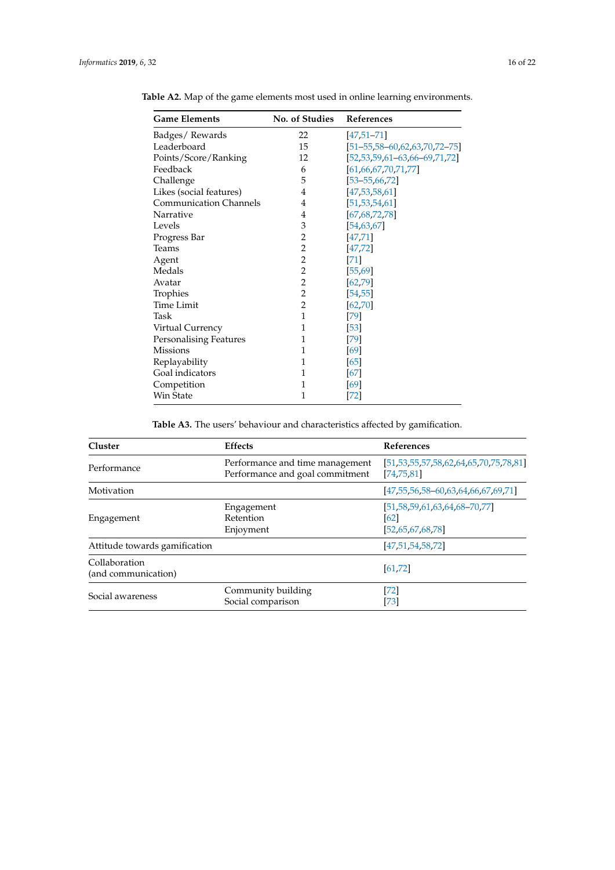| <b>Game Elements</b>          | <b>No. of Studies</b> | <b>References</b>                         |
|-------------------------------|-----------------------|-------------------------------------------|
| Badges/Rewards                | 22                    | $[47, 51 - 71]$                           |
| Leaderboard                   | 15                    | $[51 - 55, 58 - 60, 62, 63, 70, 72 - 75]$ |
| Points/Score/Ranking          | 12                    | $[52, 53, 59, 61 - 63, 66 - 69, 71, 72]$  |
| Feedback                      | 6                     | [61, 66, 67, 70, 71, 77]                  |
| Challenge                     | 5                     | $[53 - 55, 66, 72]$                       |
| Likes (social features)       | 4                     | [47, 53, 58, 61]                          |
| <b>Communication Channels</b> | 4                     | [51, 53, 54, 61]                          |
| Narrative                     | 4                     | [67, 68, 72, 78]                          |
| Levels                        | 3                     | [54, 63, 67]                              |
| Progress Bar                  | 2                     | [47, 71]                                  |
| Teams                         | $\overline{2}$        | [47, 72]                                  |
| Agent                         | $\overline{2}$        | $[71]$                                    |
| Medals                        | $\overline{c}$        | [55, 69]                                  |
| Avatar                        | $\overline{2}$        | [62, 79]                                  |
| Trophies                      | $\overline{2}$        | [54, 55]                                  |
| <b>Time Limit</b>             | $\overline{c}$        | [62, 70]                                  |
| Task                          | $\mathbf{1}$          | [79]                                      |
| Virtual Currency              | 1                     | [53]                                      |
| <b>Personalising Features</b> | 1                     | $[79]$                                    |
| <b>Missions</b>               | 1                     | [69]                                      |
| Replayability                 | 1                     | [65]                                      |
| Goal indicators               | 1                     | [67]                                      |
| Competition                   | 1                     | [69]                                      |
| Win State                     | 1                     | [72]                                      |

<span id="page-15-0"></span>**Table A2.** Map of the game elements most used in online learning environments.

**Table A3.** The users' behaviour and characteristics affected by gamification.

<span id="page-15-1"></span>

| Cluster                              | <b>Effects</b>                                                     | <b>References</b>                                                         |
|--------------------------------------|--------------------------------------------------------------------|---------------------------------------------------------------------------|
| Performance                          | Performance and time management<br>Performance and goal commitment | $[51, 53, 55, 57, 58, 62, 64, 65, 70, 75, 78, 81]$<br>[74, 75, 81]        |
| Motivation                           |                                                                    | $[47, 55, 56, 58 - 60, 63, 64, 66, 67, 69, 71]$                           |
| Engagement                           | Engagement<br>Retention<br>Enjoyment                               | $[51, 58, 59, 61, 63, 64, 68, -70, 77]$<br><b>621</b><br>[52,65,67,68,78] |
| Attitude towards gamification        |                                                                    | [47, 51, 54, 58, 72]                                                      |
| Collaboration<br>(and communication) |                                                                    | [61, 72]                                                                  |
| Social awareness                     | Community building<br>Social comparison                            | $[72]$<br>[73]                                                            |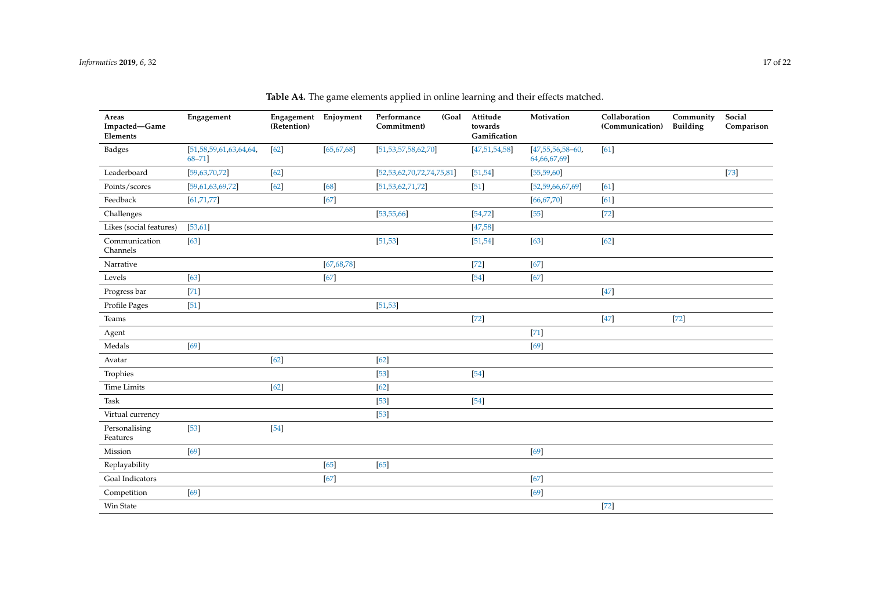<span id="page-16-0"></span>

| Areas<br>Impacted-Game<br>Elements | Engagement                                | Engagement<br>(Retention) | Enjoyment    | Performance<br>(Goal<br>Commitment) | Attitude<br>towards<br>Gamification | Motivation                              | Collaboration<br>(Communication) | Community<br><b>Building</b> | Social<br>Comparison |
|------------------------------------|-------------------------------------------|---------------------------|--------------|-------------------------------------|-------------------------------------|-----------------------------------------|----------------------------------|------------------------------|----------------------|
| <b>Badges</b>                      | [51, 58, 59, 61, 63, 64, 64,<br>$68 - 71$ | $[62]$                    | [65, 67, 68] | [51, 53, 57, 58, 62, 70]            | [47, 51, 54, 58]                    | $[47, 55, 56, 58 - 60,$<br>64,66,67,69] | [61]                             |                              |                      |
| Leaderboard                        | [59,63,70,72]                             | $[62]$                    |              | [52, 53, 62, 70, 72, 74, 75, 81]    | [51, 54]                            | [55, 59, 60]                            |                                  |                              | $[73]$               |
| Points/scores                      | [59,61,63,69,72]                          | $[62]$                    | $[68]$       | [51, 53, 62, 71, 72]                | $[51]$                              | [52, 59, 66, 67, 69]                    | [61]                             |                              |                      |
| Feedback                           | [61, 71, 77]                              |                           | $[67]$       |                                     |                                     | [66, 67, 70]                            | [61]                             |                              |                      |
| Challenges                         |                                           |                           |              | [53, 55, 66]                        | [54, 72]                            | $[55]$                                  | $[72]$                           |                              |                      |
| Likes (social features)            | [53, 61]                                  |                           |              |                                     | [47, 58]                            |                                         |                                  |                              |                      |
| Communication<br>Channels          | $[63]$                                    |                           |              | [51, 53]                            | [51, 54]                            | $[63]$                                  | $[62]$                           |                              |                      |
| Narrative                          |                                           |                           | [67, 68, 78] |                                     | $[72]$                              | $[67]$                                  |                                  |                              |                      |
| Levels                             | $[63]$                                    |                           | $[67]$       |                                     | $[54]$                              | $[67]$                                  |                                  |                              |                      |
| Progress bar                       | $[71]$                                    |                           |              |                                     |                                     |                                         | $[47]$                           |                              |                      |
| Profile Pages                      | $[51]$                                    |                           |              | [51, 53]                            |                                     |                                         |                                  |                              |                      |
| Teams                              |                                           |                           |              |                                     | $[72]$                              |                                         | $[47]$                           | $[72]$                       |                      |
| Agent                              |                                           |                           |              |                                     |                                     | $[71]$                                  |                                  |                              |                      |
| Medals                             | $[69]$                                    |                           |              |                                     |                                     | $[69]$                                  |                                  |                              |                      |
| Avatar                             |                                           | $[62]$                    |              | $[62]$                              |                                     |                                         |                                  |                              |                      |
| Trophies                           |                                           |                           |              | $[53]$                              | $[54]$                              |                                         |                                  |                              |                      |
| <b>Time Limits</b>                 |                                           | $[62]$                    |              | $[62]$                              |                                     |                                         |                                  |                              |                      |
| Task                               |                                           |                           |              | $[53]$                              | $[54]$                              |                                         |                                  |                              |                      |
| Virtual currency                   |                                           |                           |              | $[53]$                              |                                     |                                         |                                  |                              |                      |
| Personalising<br>Features          | $[53]$                                    | $[54]$                    |              |                                     |                                     |                                         |                                  |                              |                      |
| Mission                            | $[69]$                                    |                           |              |                                     |                                     | $[69]$                                  |                                  |                              |                      |
| Replayability                      |                                           |                           | $[65]$       | $[65]$                              |                                     |                                         |                                  |                              |                      |
| Goal Indicators                    |                                           |                           | $[67]$       |                                     |                                     | $[67]$                                  |                                  |                              |                      |
| Competition                        | $[69]$                                    |                           |              |                                     |                                     | $[69]$                                  |                                  |                              |                      |
| Win State                          |                                           |                           |              |                                     |                                     |                                         | $[72]$                           |                              |                      |

**Table A4.** The game elements applied in online learning and their effects matched.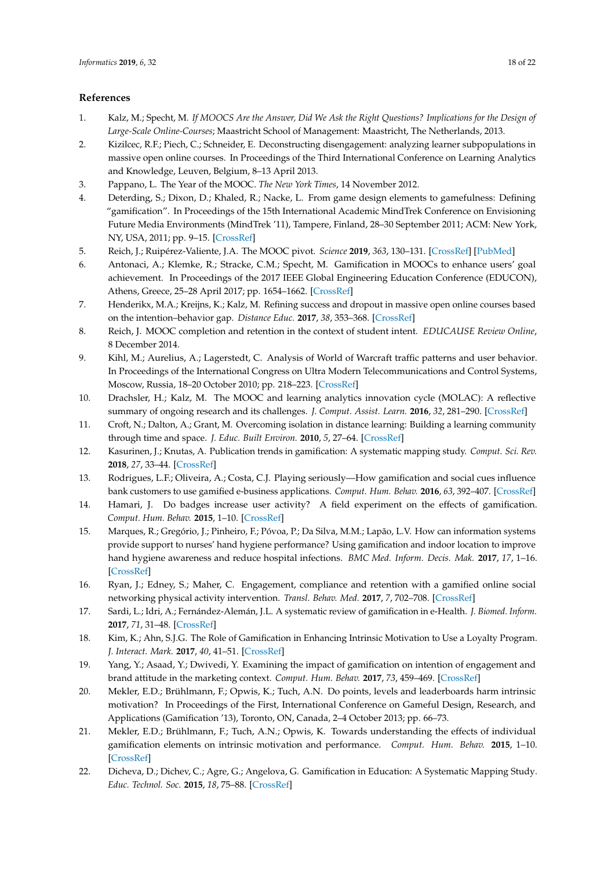## **References**

- <span id="page-17-0"></span>1. Kalz, M.; Specht, M. *If MOOCS Are the Answer, Did We Ask the Right Questions? Implications for the Design of Large-Scale Online-Courses*; Maastricht School of Management: Maastricht, The Netherlands, 2013.
- <span id="page-17-1"></span>2. Kizilcec, R.F.; Piech, C.; Schneider, E. Deconstructing disengagement: analyzing learner subpopulations in massive open online courses. In Proceedings of the Third International Conference on Learning Analytics and Knowledge, Leuven, Belgium, 8–13 April 2013.
- <span id="page-17-2"></span>3. Pappano, L. The Year of the MOOC. *The New York Times*, 14 November 2012.
- <span id="page-17-3"></span>4. Deterding, S.; Dixon, D.; Khaled, R.; Nacke, L. From game design elements to gamefulness: Defining "gamification". In Proceedings of the 15th International Academic MindTrek Conference on Envisioning Future Media Environments (MindTrek '11), Tampere, Finland, 28–30 September 2011; ACM: New York, NY, USA, 2011; pp. 9–15. [\[CrossRef\]](http://dx.doi.org/10.1145/2181037.2181040)
- <span id="page-17-4"></span>5. Reich, J.; Ruipérez-Valiente, J.A. The MOOC pivot. *Science* **2019**, *363*, 130–131. [\[CrossRef\]](http://dx.doi.org/10.1126/science.aav7958) [\[PubMed\]](http://www.ncbi.nlm.nih.gov/pubmed/30630920)
- <span id="page-17-5"></span>6. Antonaci, A.; Klemke, R.; Stracke, C.M.; Specht, M. Gamification in MOOCs to enhance users' goal achievement. In Proceedings of the 2017 IEEE Global Engineering Education Conference (EDUCON), Athens, Greece, 25–28 April 2017; pp. 1654–1662. [\[CrossRef\]](http://dx.doi.org/10.1109/EDUCON.2017.7943070)
- <span id="page-17-6"></span>7. Henderikx, M.A.; Kreijns, K.; Kalz, M. Refining success and dropout in massive open online courses based on the intention–behavior gap. *Distance Educ.* **2017**, *38*, 353–368. [\[CrossRef\]](http://dx.doi.org/10.1080/01587919.2017.1369006)
- <span id="page-17-7"></span>8. Reich, J. MOOC completion and retention in the context of student intent. *EDUCAUSE Review Online*, 8 December 2014.
- <span id="page-17-8"></span>9. Kihl, M.; Aurelius, A.; Lagerstedt, C. Analysis of World of Warcraft traffic patterns and user behavior. In Proceedings of the International Congress on Ultra Modern Telecommunications and Control Systems, Moscow, Russia, 18–20 October 2010; pp. 218–223. [\[CrossRef\]](http://dx.doi.org/10.1109/ICUMT.2010.5676634)
- <span id="page-17-9"></span>10. Drachsler, H.; Kalz, M. The MOOC and learning analytics innovation cycle (MOLAC): A reflective summary of ongoing research and its challenges. *J. Comput. Assist. Learn.* **2016**, *32*, 281–290. [\[CrossRef\]](http://dx.doi.org/10.1111/jcal.12135)
- <span id="page-17-10"></span>11. Croft, N.; Dalton, A.; Grant, M. Overcoming isolation in distance learning: Building a learning community through time and space. *J. Educ. Built Environ.* **2010**, *5*, 27–64. [\[CrossRef\]](http://dx.doi.org/10.11120/jebe.2010.05010027)
- <span id="page-17-11"></span>12. Kasurinen, J.; Knutas, A. Publication trends in gamification: A systematic mapping study. *Comput. Sci. Rev.* **2018**, *27*, 33–44. [\[CrossRef\]](http://dx.doi.org/10.1016/j.cosrev.2017.10.003)
- <span id="page-17-12"></span>13. Rodrigues, L.F.; Oliveira, A.; Costa, C.J. Playing seriously—How gamification and social cues influence bank customers to use gamified e-business applications. *Comput. Hum. Behav.* **2016**, *63*, 392–407. [\[CrossRef\]](http://dx.doi.org/10.1016/j.chb.2016.05.063)
- <span id="page-17-13"></span>14. Hamari, J. Do badges increase user activity? A field experiment on the effects of gamification. *Comput. Hum. Behav.* **2015**, 1–10. [\[CrossRef\]](http://dx.doi.org/10.1016/j.chb.2015.03.036)
- <span id="page-17-14"></span>15. Marques, R.; Gregório, J.; Pinheiro, F.; Póvoa, P.; Da Silva, M.M.; Lapão, L.V. How can information systems provide support to nurses' hand hygiene performance? Using gamification and indoor location to improve hand hygiene awareness and reduce hospital infections. *BMC Med. Inform. Decis. Mak.* **2017**, *17*, 1–16. [\[CrossRef\]](http://dx.doi.org/10.1186/s12911-017-0410-z)
- 16. Ryan, J.; Edney, S.; Maher, C. Engagement, compliance and retention with a gamified online social networking physical activity intervention. *Transl. Behav. Med.* **2017**, *7*, 702–708. [\[CrossRef\]](http://dx.doi.org/10.1007/s13142-017-0499-8)
- <span id="page-17-15"></span>17. Sardi, L.; Idri, A.; Fernández-Alemán, J.L. A systematic review of gamification in e-Health. *J. Biomed. Inform.* **2017**, *71*, 31–48. [\[CrossRef\]](http://dx.doi.org/10.1016/j.jbi.2017.05.011)
- <span id="page-17-16"></span>18. Kim, K.; Ahn, S.J.G. The Role of Gamification in Enhancing Intrinsic Motivation to Use a Loyalty Program. *J. Interact. Mark.* **2017**, *40*, 41–51. [\[CrossRef\]](http://dx.doi.org/10.1016/j.intmar.2017.07.001)
- <span id="page-17-17"></span>19. Yang, Y.; Asaad, Y.; Dwivedi, Y. Examining the impact of gamification on intention of engagement and brand attitude in the marketing context. *Comput. Hum. Behav.* **2017**, *73*, 459–469. [\[CrossRef\]](http://dx.doi.org/10.1016/j.chb.2017.03.066)
- <span id="page-17-18"></span>20. Mekler, E.D.; Brühlmann, F.; Opwis, K.; Tuch, A.N. Do points, levels and leaderboards harm intrinsic motivation? In Proceedings of the First, International Conference on Gameful Design, Research, and Applications (Gamification '13), Toronto, ON, Canada, 2–4 October 2013; pp. 66–73.
- <span id="page-17-19"></span>21. Mekler, E.D.; Brühlmann, F.; Tuch, A.N.; Opwis, K. Towards understanding the effects of individual gamification elements on intrinsic motivation and performance. *Comput. Hum. Behav.* **2015**, 1–10. [\[CrossRef\]](http://dx.doi.org/10.1016/j.chb.2015.08.048)
- <span id="page-17-20"></span>22. Dicheva, D.; Dichev, C.; Agre, G.; Angelova, G. Gamification in Education: A Systematic Mapping Study. *Educ. Technol. Soc.* **2015**, *18*, 75–88. [\[CrossRef\]](http://dx.doi.org/10.1109/EDUCON.2014.6826129)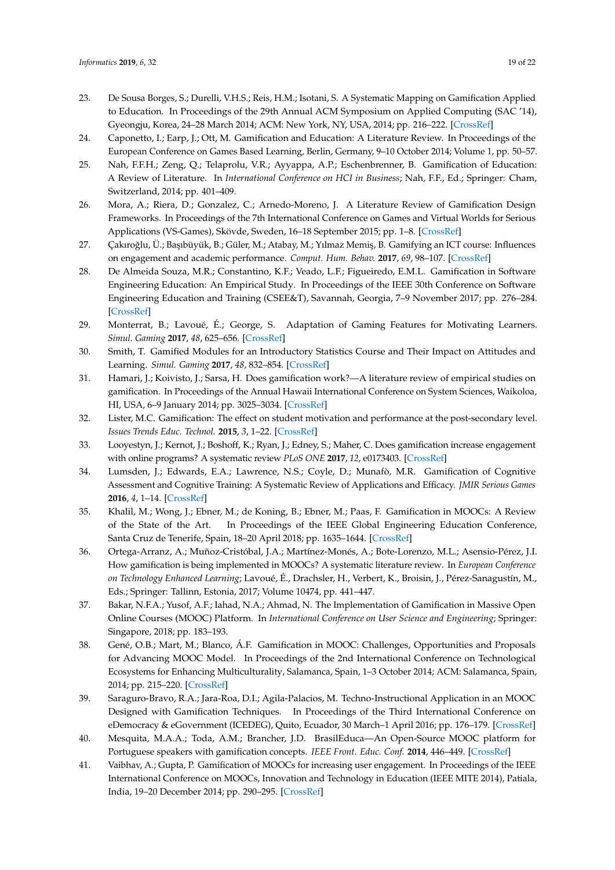- 23. De Sousa Borges, S.; Durelli, V.H.S.; Reis, H.M.; Isotani, S. A Systematic Mapping on Gamification Applied to Education. In Proceedings of the 29th Annual ACM Symposium on Applied Computing (SAC '14), Gyeongju, Korea, 24–28 March 2014; ACM: New York, NY, USA, 2014; pp. 216–222. [\[CrossRef\]](http://dx.doi.org/10.1145/2554850.2554956)
- <span id="page-18-0"></span>24. Caponetto, I.; Earp, J.; Ott, M. Gamification and Education: A Literature Review. In Proceedings of the European Conference on Games Based Learning, Berlin, Germany, 9–10 October 2014; Volume 1, pp. 50–57.
- <span id="page-18-1"></span>25. Nah, F.F.H.; Zeng, Q.; Telaprolu, V.R.; Ayyappa, A.P.; Eschenbrenner, B. Gamification of Education: A Review of Literature. In *International Conference on HCI in Business*; Nah, F.F., Ed.; Springer: Cham, Switzerland, 2014; pp. 401–409.
- <span id="page-18-2"></span>26. Mora, A.; Riera, D.; Gonzalez, C.; Arnedo-Moreno, J. A Literature Review of Gamification Design Frameworks. In Proceedings of the 7th International Conference on Games and Virtual Worlds for Serious Applications (VS-Games), Skövde, Sweden, 16–18 September 2015; pp. 1–8. [\[CrossRef\]](http://dx.doi.org/10.1109/VS-GAMES.2015.7295760)
- <span id="page-18-3"></span>27. Çakıroğlu, Ü.; Başıbüyük, B.; Güler, M.; Atabay, M.; Yılmaz Memiş, B. Gamifying an ICT course: Influences on engagement and academic performance. *Comput. Hum. Behav.* **2017**, *69*, 98–107. [\[CrossRef\]](http://dx.doi.org/10.1016/j.chb.2016.12.018)
- 28. De Almeida Souza, M.R.; Constantino, K.F.; Veado, L.F.; Figueiredo, E.M.L. Gamification in Software Engineering Education: An Empirical Study. In Proceedings of the IEEE 30th Conference on Software Engineering Education and Training (CSEE&T), Savannah, Georgia, 7–9 November 2017; pp. 276–284. [\[CrossRef\]](http://dx.doi.org/10.1109/CSEET.2017.51)
- 29. Monterrat, B.; Lavoué, É.; George, S. Adaptation of Gaming Features for Motivating Learners. *Simul. Gaming* **2017**, *48*, 625–656. [\[CrossRef\]](http://dx.doi.org/10.1177/1046878117712632)
- <span id="page-18-4"></span>30. Smith, T. Gamified Modules for an Introductory Statistics Course and Their Impact on Attitudes and Learning. *Simul. Gaming* **2017**, *48*, 832–854. [\[CrossRef\]](http://dx.doi.org/10.1177/1046878117731888)
- <span id="page-18-5"></span>31. Hamari, J.; Koivisto, J.; Sarsa, H. Does gamification work?—A literature review of empirical studies on gamification. In Proceedings of the Annual Hawaii International Conference on System Sciences, Waikoloa, HI, USA, 6–9 January 2014; pp. 3025–3034. [\[CrossRef\]](http://dx.doi.org/10.1109/HICSS.2014.377)
- 32. Lister, M.C. Gamification: The effect on student motivation and performance at the post-secondary level. *Issues Trends Educ. Technol.* **2015**, *3*, 1–22. [\[CrossRef\]](http://dx.doi.org/10.2458/azu_itet_v3i2_Lister)
- <span id="page-18-6"></span>33. Looyestyn, J.; Kernot, J.; Boshoff, K.; Ryan, J.; Edney, S.; Maher, C. Does gamification increase engagement with online programs? A systematic review *PLoS ONE* **2017**, *12*, e0173403. [\[CrossRef\]](http://dx.doi.org/10.1371/journal.pone.0173403)
- <span id="page-18-7"></span>34. Lumsden, J.; Edwards, E.A.; Lawrence, N.S.; Coyle, D.; Munafò, M.R. Gamification of Cognitive Assessment and Cognitive Training: A Systematic Review of Applications and Efficacy. *JMIR Serious Games* **2016**, *4*, 1–14. [\[CrossRef\]](http://dx.doi.org/10.2196/games.5888)
- <span id="page-18-8"></span>35. Khalil, M.; Wong, J.; Ebner, M.; de Koning, B.; Ebner, M.; Paas, F. Gamification in MOOCs: A Review of the State of the Art. In Proceedings of the IEEE Global Engineering Education Conference, Santa Cruz de Tenerife, Spain, 18–20 April 2018; pp. 1635–1644. [\[CrossRef\]](http://dx.doi.org/10.1109/EDUCON.2018.8363430)
- 36. Ortega-Arranz, A.; Muñoz-Cristóbal, J.A.; Martínez-Monés, A.; Bote-Lorenzo, M.L.; Asensio-Pérez, J.I. How gamification is being implemented in MOOCs? A systematic literature review. In *European Conference on Technology Enhanced Learning*; Lavoué, É., Drachsler, H., Verbert, K., Broisin, J., Pérez-Sanagustín, M., Eds.; Springer: Tallinn, Estonia, 2017; Volume 10474, pp. 441–447.
- <span id="page-18-9"></span>37. Bakar, N.F.A.; Yusof, A.F.; Iahad, N.A.; Ahmad, N. The Implementation of Gamification in Massive Open Online Courses (MOOC) Platform. In *International Conference on User Science and Engineering*; Springer: Singapore, 2018; pp. 183–193.
- <span id="page-18-10"></span>38. Gené, O.B.; Mart, M.; Blanco, Á.F. Gamification in MOOC: Challenges, Opportunities and Proposals for Advancing MOOC Model. In Proceedings of the 2nd International Conference on Technological Ecosystems for Enhancing Multiculturality, Salamanca, Spain, 1–3 October 2014; ACM: Salamanca, Spain, 2014; pp. 215–220. [\[CrossRef\]](http://dx.doi.org/10.1145/2669711.2669902)
- 39. Saraguro-Bravo, R.A.; Jara-Roa, D.I.; Agila-Palacios, M. Techno-Instructional Application in an MOOC Designed with Gamification Techniques. In Proceedings of the Third International Conference on eDemocracy & eGovernment (ICEDEG), Quito, Ecuador, 30 March–1 April 2016; pp. 176–179. [\[CrossRef\]](http://dx.doi.org/10.1109/ICEDEG.2016.7461717)
- 40. Mesquita, M.A.A.; Toda, A.M.; Brancher, J.D. BrasilEduca—An Open-Source MOOC platform for Portuguese speakers with gamification concepts. *IEEE Front. Educ. Conf.* **2014**, 446–449. [\[CrossRef\]](http://dx.doi.org/10.1109/FIE.2014.7044063)
- 41. Vaibhav, A.; Gupta, P. Gamification of MOOCs for increasing user engagement. In Proceedings of the IEEE International Conference on MOOCs, Innovation and Technology in Education (IEEE MITE 2014), Patiala, India, 19–20 December 2014; pp. 290–295. [\[CrossRef\]](http://dx.doi.org/10.1109/MITE.2014.7020290)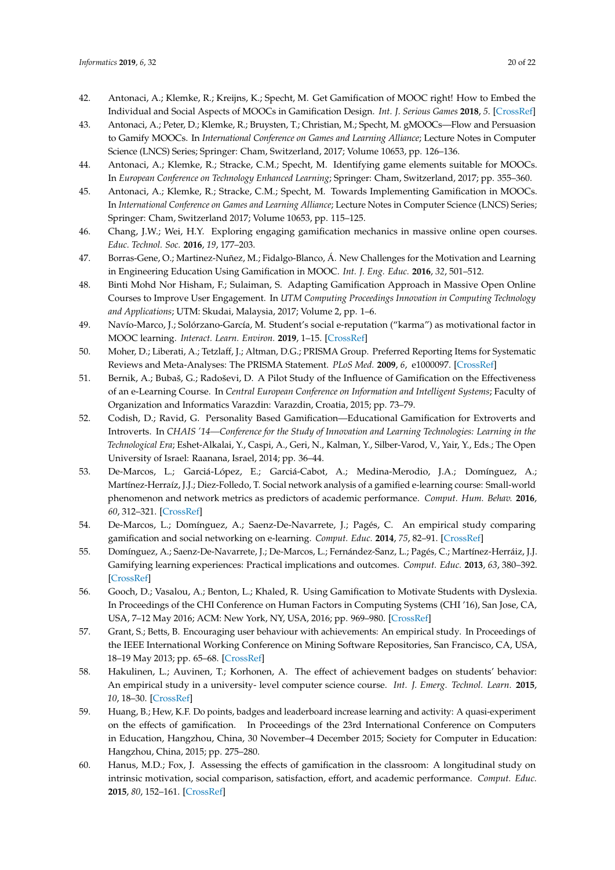- <span id="page-19-21"></span><span id="page-19-16"></span>42. Antonaci, A.; Klemke, R.; Kreijns, K.; Specht, M. Get Gamification of MOOC right! How to Embed the Individual and Social Aspects of MOOCs in Gamification Design. *Int. J. Serious Games* **2018**, *5*. [\[CrossRef\]](http://dx.doi.org/10.17083/ijsg.v5i3.255)
- <span id="page-19-17"></span>43. Antonaci, A.; Peter, D.; Klemke, R.; Bruysten, T.; Christian, M.; Specht, M. gMOOCs—Flow and Persuasion to Gamify MOOCs. In *International Conference on Games and Learning Alliance*; Lecture Notes in Computer Science (LNCS) Series; Springer: Cham, Switzerland, 2017; Volume 10653, pp. 126–136.
- <span id="page-19-26"></span>44. Antonaci, A.; Klemke, R.; Stracke, C.M.; Specht, M. Identifying game elements suitable for MOOCs. In *European Conference on Technology Enhanced Learning*; Springer: Cham, Switzerland, 2017; pp. 355–360.
- <span id="page-19-0"></span>45. Antonaci, A.; Klemke, R.; Stracke, C.M.; Specht, M. Towards Implementing Gamification in MOOCs. In *International Conference on Games and Learning Alliance*; Lecture Notes in Computer Science (LNCS) Series; Springer: Cham, Switzerland 2017; Volume 10653, pp. 115–125.
- <span id="page-19-20"></span><span id="page-19-1"></span>46. Chang, J.W.; Wei, H.Y. Exploring engaging gamification mechanics in massive online open courses. *Educ. Technol. Soc.* **2016**, *19*, 177–203.
- <span id="page-19-22"></span><span id="page-19-2"></span>47. Borras-Gene, O.; Martinez-Nuñez, M.; Fidalgo-Blanco, Á. New Challenges for the Motivation and Learning in Engineering Education Using Gamification in MOOC. *Int. J. Eng. Educ.* **2016**, *32*, 501–512.
- <span id="page-19-23"></span><span id="page-19-3"></span>48. Binti Mohd Nor Hisham, F.; Sulaiman, S. Adapting Gamification Approach in Massive Open Online Courses to Improve User Engagement. In *UTM Computing Proceedings Innovation in Computing Technology and Applications*; UTM: Skudai, Malaysia, 2017; Volume 2, pp. 1–6.
- <span id="page-19-24"></span><span id="page-19-4"></span>49. Navío-Marco, J.; Solórzano-García, M. Student's social e-reputation ("karma") as motivational factor in MOOC learning. *Interact. Learn. Environ.* **2019**, 1–15. [\[CrossRef\]](http://dx.doi.org/10.1080/10494820.2019.1579237)
- <span id="page-19-5"></span>50. Moher, D.; Liberati, A.; Tetzlaff, J.; Altman, D.G.; PRISMA Group. Preferred Reporting Items for Systematic Reviews and Meta-Analyses: The PRISMA Statement. *PLoS Med.* **2009**, *6*, e1000097. [\[CrossRef\]](http://dx.doi.org/10.1371/journal.pmed.1000097)
- <span id="page-19-6"></span>51. Bernik, A.; Bubaš, G.; Radoševi, D. A Pilot Study of the Influence of Gamification on the Effectiveness of an e-Learning Course. In *Central European Conference on Information and Intelligent Systems*; Faculty of Organization and Informatics Varazdin: Varazdin, Croatia, 2015; pp. 73–79.
- <span id="page-19-18"></span><span id="page-19-10"></span>52. Codish, D.; Ravid, G. Personality Based Gamification—Educational Gamification for Extroverts and Introverts. In *CHAIS '14—Conference for the Study of Innovation and Learning Technologies: Learning in the Technological Era*; Eshet-Alkalai, Y., Caspi, A., Geri, N., Kalman, Y., Silber-Varod, V., Yair, Y., Eds.; The Open University of Israel: Raanana, Israel, 2014; pp. 36–44.
- <span id="page-19-19"></span><span id="page-19-11"></span>53. De-Marcos, L.; Garciá-López, E.; Garciá-Cabot, A.; Medina-Merodio, J.A.; Domínguez, A.; Martínez-Herraíz, J.J.; Diez-Folledo, T. Social network analysis of a gamified e-learning course: Small-world phenomenon and network metrics as predictors of academic performance. *Comput. Hum. Behav.* **2016**, *60*, 312–321. [\[CrossRef\]](http://dx.doi.org/10.1016/j.chb.2016.02.052)
- <span id="page-19-25"></span><span id="page-19-13"></span>54. De-Marcos, L.; Domínguez, A.; Saenz-De-Navarrete, J.; Pagés, C. An empirical study comparing gamification and social networking on e-learning. *Comput. Educ.* **2014**, *75*, 82–91. [\[CrossRef\]](http://dx.doi.org/10.1016/j.compedu.2014.01.012)
- <span id="page-19-7"></span>55. Domínguez, A.; Saenz-De-Navarrete, J.; De-Marcos, L.; Fernández-Sanz, L.; Pagés, C.; Martínez-Herráiz, J.J. Gamifying learning experiences: Practical implications and outcomes. *Comput. Educ.* **2013**, *63*, 380–392. [\[CrossRef\]](http://dx.doi.org/10.1016/j.compedu.2012.12.020)
- <span id="page-19-15"></span>56. Gooch, D.; Vasalou, A.; Benton, L.; Khaled, R. Using Gamification to Motivate Students with Dyslexia. In Proceedings of the CHI Conference on Human Factors in Computing Systems (CHI '16), San Jose, CA, USA, 7–12 May 2016; ACM: New York, NY, USA, 2016; pp. 969–980. [\[CrossRef\]](http://dx.doi.org/10.1145/2858036.2858231)
- <span id="page-19-14"></span>57. Grant, S.; Betts, B. Encouraging user behaviour with achievements: An empirical study. In Proceedings of the IEEE International Working Conference on Mining Software Repositories, San Francisco, CA, USA, 18–19 May 2013; pp. 65–68. [\[CrossRef\]](http://dx.doi.org/10.1109/MSR.2013.6624007)
- <span id="page-19-8"></span>58. Hakulinen, L.; Auvinen, T.; Korhonen, A. The effect of achievement badges on students' behavior: An empirical study in a university- level computer science course. *Int. J. Emerg. Technol. Learn.* **2015**, *10*, 18–30. [\[CrossRef\]](http://dx.doi.org/10.3991/ijet.v10i1.4221)
- <span id="page-19-12"></span>59. Huang, B.; Hew, K.F. Do points, badges and leaderboard increase learning and activity: A quasi-experiment on the effects of gamification. In Proceedings of the 23rd International Conference on Computers in Education, Hangzhou, China, 30 November–4 December 2015; Society for Computer in Education: Hangzhou, China, 2015; pp. 275–280.
- <span id="page-19-9"></span>60. Hanus, M.D.; Fox, J. Assessing the effects of gamification in the classroom: A longitudinal study on intrinsic motivation, social comparison, satisfaction, effort, and academic performance. *Comput. Educ.* **2015**, *80*, 152–161. [\[CrossRef\]](http://dx.doi.org/10.1016/j.compedu.2014.08.019)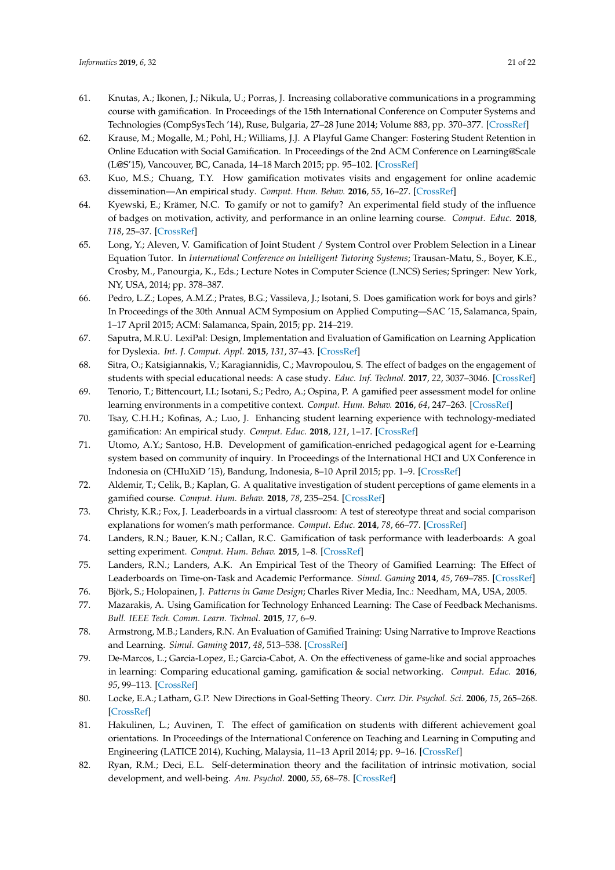- <span id="page-20-31"></span><span id="page-20-29"></span><span id="page-20-28"></span><span id="page-20-27"></span><span id="page-20-25"></span><span id="page-20-24"></span><span id="page-20-23"></span><span id="page-20-22"></span><span id="page-20-7"></span>61. Knutas, A.; Ikonen, J.; Nikula, U.; Porras, J. Increasing collaborative communications in a programming course with gamification. In Proceedings of the 15th International Conference on Computer Systems and Technologies (CompSysTech '14), Ruse, Bulgaria, 27–28 June 2014; Volume 883, pp. 370–377. [\[CrossRef\]](http://dx.doi.org/10.1145/2659532.2659620)
- <span id="page-20-32"></span><span id="page-20-1"></span>62. Krause, M.; Mogalle, M.; Pohl, H.; Williams, J.J. A Playful Game Changer: Fostering Student Retention in Online Education with Social Gamification. In Proceedings of the 2nd ACM Conference on Learning@Scale (L@S'15), Vancouver, BC, Canada, 14–18 March 2015; pp. 95–102. [\[CrossRef\]](http://dx.doi.org/10.1145/2724660.2724665)
- <span id="page-20-30"></span><span id="page-20-26"></span><span id="page-20-2"></span>63. Kuo, M.S.; Chuang, T.Y. How gamification motivates visits and engagement for online academic dissemination—An empirical study. *Comput. Hum. Behav.* **2016**, *55*, 16–27. [\[CrossRef\]](http://dx.doi.org/10.1016/j.chb.2015.08.025)
- <span id="page-20-33"></span><span id="page-20-16"></span>64. Kyewski, E.; Krämer, N.C. To gamify or not to gamify? An experimental field study of the influence of badges on motivation, activity, and performance in an online learning course. *Comput. Educ.* **2018**, *118*, 25–37. [\[CrossRef\]](http://dx.doi.org/10.1016/j.compedu.2017.11.006)
- <span id="page-20-37"></span><span id="page-20-15"></span>65. Long, Y.; Aleven, V. Gamification of Joint Student / System Control over Problem Selection in a Linear Equation Tutor. In *International Conference on Intelligent Tutoring Systems*; Trausan-Matu, S., Boyer, K.E., Crosby, M., Panourgia, K., Eds.; Lecture Notes in Computer Science (LNCS) Series; Springer: New York, NY, USA, 2014; pp. 378–387.
- <span id="page-20-35"></span><span id="page-20-34"></span><span id="page-20-8"></span>66. Pedro, L.Z.; Lopes, A.M.Z.; Prates, B.G.; Vassileva, J.; Isotani, S. Does gamification work for boys and girls? In Proceedings of the 30th Annual ACM Symposium on Applied Computing—SAC '15, Salamanca, Spain, 1–17 April 2015; ACM: Salamanca, Spain, 2015; pp. 214–219.
- <span id="page-20-38"></span><span id="page-20-10"></span>67. Saputra, M.R.U. LexiPal: Design, Implementation and Evaluation of Gamification on Learning Application for Dyslexia. *Int. J. Comput. Appl.* **2015**, *131*, 37–43. [\[CrossRef\]](http://dx.doi.org/10.5120/ijca2015907416)
- <span id="page-20-39"></span><span id="page-20-12"></span>68. Sitra, O.; Katsigiannakis, V.; Karagiannidis, C.; Mavropoulou, S. The effect of badges on the engagement of students with special educational needs: A case study. *Educ. Inf. Technol.* **2017**, *22*, 3037–3046. [\[CrossRef\]](http://dx.doi.org/10.1007/s10639-016-9550-5)
- <span id="page-20-9"></span>69. Tenorio, T.; Bittencourt, I.I.; Isotani, S.; Pedro, A.; Ospina, P. A gamified peer assessment model for online learning environments in a competitive context. *Comput. Hum. Behav.* **2016**, *64*, 247–263. [\[CrossRef\]](http://dx.doi.org/10.1016/j.chb.2016.06.049)
- <span id="page-20-3"></span>70. Tsay, C.H.H.; Kofinas, A.; Luo, J. Enhancing student learning experience with technology-mediated gamification: An empirical study. *Comput. Educ.* **2018**, *121*, 1–17. [\[CrossRef\]](http://dx.doi.org/10.1016/j.compedu.2018.01.009)
- <span id="page-20-0"></span>71. Utomo, A.Y.; Santoso, H.B. Development of gamification-enriched pedagogical agent for e-Learning system based on community of inquiry. In Proceedings of the International HCI and UX Conference in Indonesia on (CHIuXiD '15), Bandung, Indonesia, 8–10 April 2015; pp. 1–9. [\[CrossRef\]](http://dx.doi.org/10.1145/2742032.2742033)
- <span id="page-20-36"></span><span id="page-20-4"></span>72. Aldemir, T.; Celik, B.; Kaplan, G. A qualitative investigation of student perceptions of game elements in a gamified course. *Comput. Hum. Behav.* **2018**, *78*, 235–254. [\[CrossRef\]](http://dx.doi.org/10.1016/j.chb.2017.10.001)
- <span id="page-20-20"></span>73. Christy, K.R.; Fox, J. Leaderboards in a virtual classroom: A test of stereotype threat and social comparison explanations for women's math performance. *Comput. Educ.* **2014**, *78*, 66–77. [\[CrossRef\]](http://dx.doi.org/10.1016/j.compedu.2014.05.005)
- <span id="page-20-17"></span>74. Landers, R.N.; Bauer, K.N.; Callan, R.C. Gamification of task performance with leaderboards: A goal setting experiment. *Comput. Hum. Behav.* **2015**, 1–8. [\[CrossRef\]](http://dx.doi.org/10.1016/j.chb.2015.08.008)
- <span id="page-20-5"></span>75. Landers, R.N.; Landers, A.K. An Empirical Test of the Theory of Gamified Learning: The Effect of Leaderboards on Time-on-Task and Academic Performance. *Simul. Gaming* **2014**, *45*, 769–785. [\[CrossRef\]](http://dx.doi.org/10.1177/1046878114563662)
- <span id="page-20-6"></span>76. Björk, S.; Holopainen, J. *Patterns in Game Design*; Charles River Media, Inc.: Needham, MA, USA, 2005.
- <span id="page-20-11"></span>77. Mazarakis, A. Using Gamification for Technology Enhanced Learning: The Case of Feedback Mechanisms. *Bull. IEEE Tech. Comm. Learn. Technol.* **2015**, *17*, 6–9.
- <span id="page-20-13"></span>78. Armstrong, M.B.; Landers, R.N. An Evaluation of Gamified Training: Using Narrative to Improve Reactions and Learning. *Simul. Gaming* **2017**, *48*, 513–538. [\[CrossRef\]](http://dx.doi.org/10.1177/1046878117703749)
- <span id="page-20-14"></span>79. De-Marcos, L.; Garcia-Lopez, E.; Garcia-Cabot, A. On the effectiveness of game-like and social approaches in learning: Comparing educational gaming, gamification & social networking. *Comput. Educ.* **2016**, *95*, 99–113. [\[CrossRef\]](http://dx.doi.org/10.1016/j.compedu.2015.12.008)
- <span id="page-20-18"></span>80. Locke, E.A.; Latham, G.P. New Directions in Goal-Setting Theory. *Curr. Dir. Psychol. Sci.* **2006**, *15*, 265–268. [\[CrossRef\]](http://dx.doi.org/10.1111/j.1467-8721.2006.00449.x)
- <span id="page-20-19"></span>81. Hakulinen, L.; Auvinen, T. The effect of gamification on students with different achievement goal orientations. In Proceedings of the International Conference on Teaching and Learning in Computing and Engineering (LATICE 2014), Kuching, Malaysia, 11–13 April 2014; pp. 9–16. [\[CrossRef\]](http://dx.doi.org/10.1109/LaTiCE.2014.10)
- <span id="page-20-21"></span>82. Ryan, R.M.; Deci, E.L. Self-determination theory and the facilitation of intrinsic motivation, social development, and well-being. *Am. Psychol.* **2000**, *55*, 68–78. [\[CrossRef\]](http://dx.doi.org/10.1037/0003-066X.55.1.68)